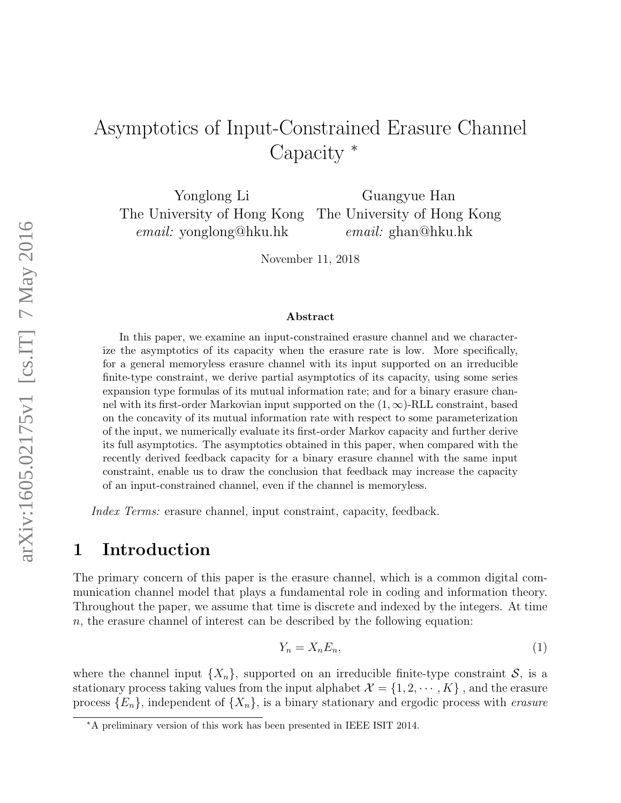# Asymptotics of Input-Constrained Erasure Channel Capacity <sup>∗</sup>

Yonglong Li Guangyue Han The University of Hong Kong The University of Hong Kong email: yonglong@hku.hk email: ghan@hku.hk

November 11, 2018

#### Abstract

In this paper, we examine an input-constrained erasure channel and we characterize the asymptotics of its capacity when the erasure rate is low. More specifically, for a general memoryless erasure channel with its input supported on an irreducible finite-type constraint, we derive partial asymptotics of its capacity, using some series expansion type formulas of its mutual information rate; and for a binary erasure channel with its first-order Markovian input supported on the  $(1, \infty)$ -RLL constraint, based on the concavity of its mutual information rate with respect to some parameterization of the input, we numerically evaluate its first-order Markov capacity and further derive its full asymptotics. The asymptotics obtained in this paper, when compared with the recently derived feedback capacity for a binary erasure channel with the same input constraint, enable us to draw the conclusion that feedback may increase the capacity of an input-constrained channel, even if the channel is memoryless.

Index Terms: erasure channel, input constraint, capacity, feedback.

### <span id="page-0-1"></span>1 Introduction

The primary concern of this paper is the erasure channel, which is a common digital communication channel model that plays a fundamental role in coding and information theory. Throughout the paper, we assume that time is discrete and indexed by the integers. At time n, the erasure channel of interest can be described by the following equation:

<span id="page-0-0"></span>
$$
Y_n = X_n E_n,\tag{1}
$$

where the channel input  $\{X_n\}$ , supported on an irreducible finite-type constraint  $\mathcal{S}$ , is a stationary process taking values from the input alphabet  $\mathcal{X} = \{1, 2, \cdots, K\}$ , and the erasure process  $\{E_n\}$ , independent of  $\{X_n\}$ , is a binary stationary and ergodic process with *erasure* 

<sup>∗</sup>A preliminary version of this work has been presented in IEEE ISIT 2014.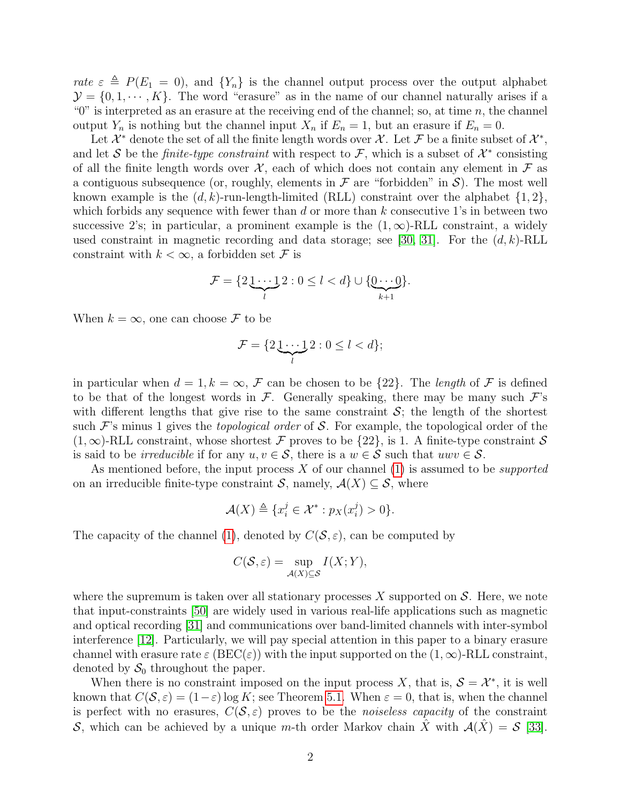rate  $\varepsilon \triangleq P(E_1 = 0)$ , and  $\{Y_n\}$  is the channel output process over the output alphabet  $\mathcal{Y} = \{0, 1, \cdots, K\}$ . The word "erasure" as in the name of our channel naturally arises if a " $0$ " is interpreted as an erasure at the receiving end of the channel; so, at time n, the channel output  $Y_n$  is nothing but the channel input  $X_n$  if  $E_n = 1$ , but an erasure if  $E_n = 0$ .

Let  $\mathcal{X}^*$  denote the set of all the finite length words over  $\mathcal{X}$ . Let  $\mathcal{F}$  be a finite subset of  $\mathcal{X}^*$ , and let S be the *finite-type constraint* with respect to F, which is a subset of  $\mathcal{X}^*$  consisting of all the finite length words over  $\mathcal{X}$ , each of which does not contain any element in  $\mathcal F$  as a contiguous subsequence (or, roughly, elements in  $\mathcal F$  are "forbidden" in  $\mathcal S$ ). The most well known example is the  $(d, k)$ -run-length-limited (RLL) constraint over the alphabet  $\{1, 2\}$ , which forbids any sequence with fewer than  $d$  or more than  $k$  consecutive 1's in between two successive 2's; in particular, a prominent example is the  $(1,\infty)$ -RLL constraint, a widely used constraint in magnetic recording and data storage; see [\[30,](#page-27-0) [31\]](#page-27-1). For the  $(d, k)$ -RLL constraint with  $k < \infty$ , a forbidden set F is

$$
\mathcal{F} = \{2\underbrace{1\cdots 1}_{l} 2 : 0 \leq l < d\} \cup \{\underbrace{0\cdots 0}_{k+1}\}.
$$

When  $k = \infty$ , one can choose F to be

$$
\mathcal{F} = \{2\underbrace{1\cdots 1}_{l} 2 : 0 \leq l < d\};
$$

in particular when  $d = 1, k = \infty$ , F can be chosen to be  $\{22\}$ . The length of F is defined to be that of the longest words in  $\mathcal F$ . Generally speaking, there may be many such  $\mathcal F$ 's with different lengths that give rise to the same constraint  $S$ ; the length of the shortest such  $\mathcal{F}$ 's minus 1 gives the *topological order* of S. For example, the topological order of the  $(1, \infty)$ -RLL constraint, whose shortest F proves to be  $\{22\}$ , is 1. A finite-type constraint S is said to be *irreducible* if for any  $u, v \in S$ , there is a  $w \in S$  such that  $uwv \in S$ .

As mentioned before, the input process X of our channel  $(1)$  is assumed to be *supported* on an irreducible finite-type constraint S, namely,  $\mathcal{A}(X) \subseteq \mathcal{S}$ , where

$$
\mathcal{A}(X) \triangleq \{x_i^j \in \mathcal{X}^* : p_X(x_i^j) > 0\}.
$$

The capacity of the channel [\(1\)](#page-0-0), denoted by  $C(S, \varepsilon)$ , can be computed by

$$
C(\mathcal{S}, \varepsilon) = \sup_{\mathcal{A}(X) \subseteq \mathcal{S}} I(X; Y),
$$

where the supremum is taken over all stationary processes  $X$  supported on  $S$ . Here, we note that input-constraints [\[50\]](#page-29-0) are widely used in various real-life applications such as magnetic and optical recording [\[31\]](#page-27-1) and communications over band-limited channels with inter-symbol interference [\[12\]](#page-26-0). Particularly, we will pay special attention in this paper to a binary erasure channel with erasure rate  $\varepsilon$  (BEC( $\varepsilon$ )) with the input supported on the  $(1,\infty)$ -RLL constraint, denoted by  $S_0$  throughout the paper.

When there is no constraint imposed on the input process X, that is,  $S = \mathcal{X}^*$ , it is well known that  $C(S, \varepsilon) = (1-\varepsilon) \log K$ ; see Theorem [5.1.](#page-21-0) When  $\varepsilon = 0$ , that is, when the channel is perfect with no erasures,  $C(S, \varepsilon)$  proves to be the *noiseless capacity* of the constraint S, which can be achieved by a unique m-th order Markov chain  $\hat{X}$  with  $\mathcal{A}(\hat{X}) = \mathcal{S}$  [\[33\]](#page-27-2).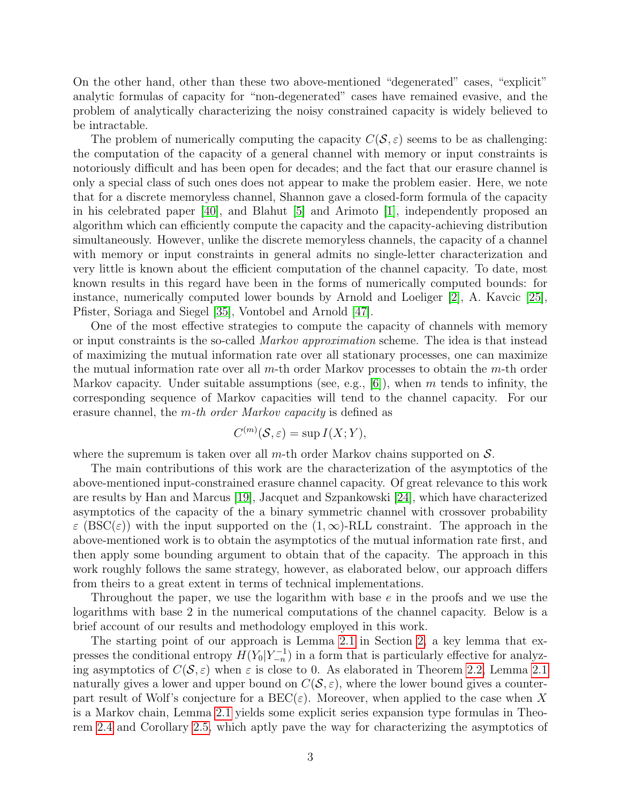On the other hand, other than these two above-mentioned "degenerated" cases, "explicit" analytic formulas of capacity for "non-degenerated" cases have remained evasive, and the problem of analytically characterizing the noisy constrained capacity is widely believed to be intractable.

The problem of numerically computing the capacity  $C(S, \varepsilon)$  seems to be as challenging: the computation of the capacity of a general channel with memory or input constraints is notoriously difficult and has been open for decades; and the fact that our erasure channel is only a special class of such ones does not appear to make the problem easier. Here, we note that for a discrete memoryless channel, Shannon gave a closed-form formula of the capacity in his celebrated paper [\[40\]](#page-28-0), and Blahut [\[5\]](#page-26-1) and Arimoto [\[1\]](#page-25-0), independently proposed an algorithm which can efficiently compute the capacity and the capacity-achieving distribution simultaneously. However, unlike the discrete memoryless channels, the capacity of a channel with memory or input constraints in general admits no single-letter characterization and very little is known about the efficient computation of the channel capacity. To date, most known results in this regard have been in the forms of numerically computed bounds: for instance, numerically computed lower bounds by Arnold and Loeliger [\[2\]](#page-25-1), A. Kavcic [\[25\]](#page-27-3), Pfister, Soriaga and Siegel [\[35\]](#page-28-1), Vontobel and Arnold [\[47\]](#page-28-2).

One of the most effective strategies to compute the capacity of channels with memory or input constraints is the so-called Markov approximation scheme. The idea is that instead of maximizing the mutual information rate over all stationary processes, one can maximize the mutual information rate over all  $m$ -th order Markov processes to obtain the  $m$ -th order Markov capacity. Under suitable assumptions (see, e.g.,  $[6]$ ), when m tends to infinity, the corresponding sequence of Markov capacities will tend to the channel capacity. For our erasure channel, the m-th order Markov capacity is defined as

$$
C^{(m)}(\mathcal{S}, \varepsilon) = \sup I(X; Y),
$$

where the supremum is taken over all  $m$ -th order Markov chains supported on  $S$ .

The main contributions of this work are the characterization of the asymptotics of the above-mentioned input-constrained erasure channel capacity. Of great relevance to this work are results by Han and Marcus [\[19\]](#page-27-4), Jacquet and Szpankowski [\[24\]](#page-27-5), which have characterized asymptotics of the capacity of the a binary symmetric channel with crossover probability  $\varepsilon$  (BSC( $\varepsilon$ )) with the input supported on the  $(1,\infty)$ -RLL constraint. The approach in the above-mentioned work is to obtain the asymptotics of the mutual information rate first, and then apply some bounding argument to obtain that of the capacity. The approach in this work roughly follows the same strategy, however, as elaborated below, our approach differs from theirs to a great extent in terms of technical implementations.

Throughout the paper, we use the logarithm with base  $e$  in the proofs and we use the logarithms with base 2 in the numerical computations of the channel capacity. Below is a brief account of our results and methodology employed in this work.

The starting point of our approach is Lemma [2.1](#page-3-0) in Section [2,](#page-3-1) a key lemma that expresses the conditional entropy  $H(Y_0|Y_{-n}^{-1})$  in a form that is particularly effective for analyzing asymptotics of  $C(S, \varepsilon)$  when  $\varepsilon$  is close to 0. As elaborated in Theorem [2.2,](#page-5-0) Lemma [2.1](#page-3-0) naturally gives a lower and upper bound on  $C(S, \varepsilon)$ , where the lower bound gives a counterpart result of Wolf's conjecture for a  $BEC(\varepsilon)$ . Moreover, when applied to the case when X is a Markov chain, Lemma [2.1](#page-3-0) yields some explicit series expansion type formulas in Theorem [2.4](#page-7-0) and Corollary [2.5,](#page-9-0) which aptly pave the way for characterizing the asymptotics of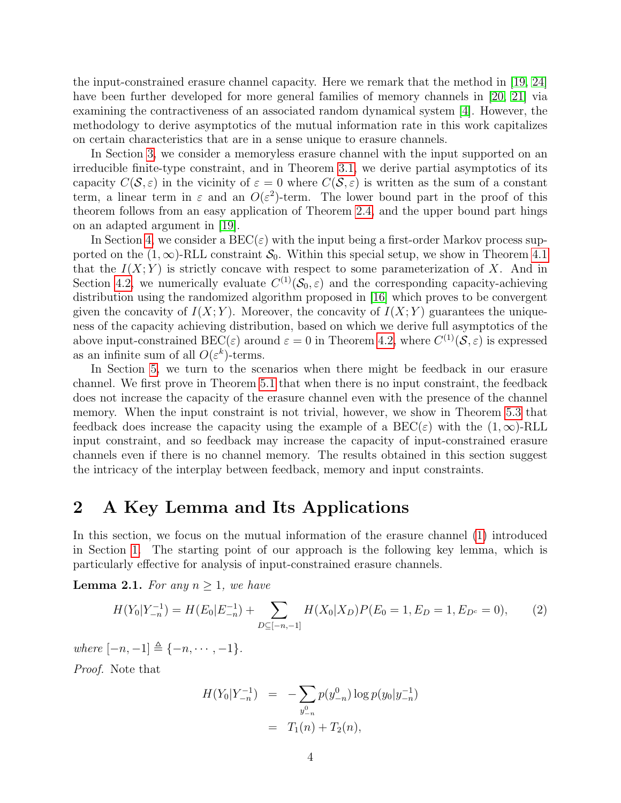the input-constrained erasure channel capacity. Here we remark that the method in [\[19,](#page-27-4) [24\]](#page-27-5) have been further developed for more general families of memory channels in [\[20,](#page-27-6) [21\]](#page-27-7) via examining the contractiveness of an associated random dynamical system [\[4\]](#page-26-3). However, the methodology to derive asymptotics of the mutual information rate in this work capitalizes on certain characteristics that are in a sense unique to erasure channels.

In Section [3,](#page-9-1) we consider a memoryless erasure channel with the input supported on an irreducible finite-type constraint, and in Theorem [3.1,](#page-9-2) we derive partial asymptotics of its capacity  $C(\mathcal{S}, \varepsilon)$  in the vicinity of  $\varepsilon = 0$  where  $C(\mathcal{S}, \varepsilon)$  is written as the sum of a constant term, a linear term in  $\varepsilon$  and an  $O(\varepsilon^2)$ -term. The lower bound part in the proof of this theorem follows from an easy application of Theorem [2.4,](#page-7-0) and the upper bound part hings on an adapted argument in [\[19\]](#page-27-4).

In Section [4,](#page-14-0) we consider a  $\text{BEC}(\varepsilon)$  with the input being a first-order Markov process supported on the  $(1,\infty)$ -RLL constraint  $\mathcal{S}_0$ . Within this special setup, we show in Theorem [4.1](#page-14-1) that the  $I(X; Y)$  is strictly concave with respect to some parameterization of X. And in Section [4.2,](#page-17-0) we numerically evaluate  $C^{(1)}(\mathcal{S}_0, \varepsilon)$  and the corresponding capacity-achieving distribution using the randomized algorithm proposed in [\[16\]](#page-26-4) which proves to be convergent given the concavity of  $I(X; Y)$ . Moreover, the concavity of  $I(X; Y)$  guarantees the uniqueness of the capacity achieving distribution, based on which we derive full asymptotics of the above input-constrained BEC( $\varepsilon$ ) around  $\varepsilon = 0$  in Theorem [4.2,](#page-19-0) where  $C^{(1)}(S, \varepsilon)$  is expressed as an infinite sum of all  $O(\varepsilon^k)$ -terms.

In Section [5,](#page-21-1) we turn to the scenarios when there might be feedback in our erasure channel. We first prove in Theorem [5.1](#page-21-0) that when there is no input constraint, the feedback does not increase the capacity of the erasure channel even with the presence of the channel memory. When the input constraint is not trivial, however, we show in Theorem [5.3](#page-22-0) that feedback does increase the capacity using the example of a  $BEC(\varepsilon)$  with the  $(1,\infty)$ -RLL input constraint, and so feedback may increase the capacity of input-constrained erasure channels even if there is no channel memory. The results obtained in this section suggest the intricacy of the interplay between feedback, memory and input constraints.

### <span id="page-3-1"></span>2 A Key Lemma and Its Applications

In this section, we focus on the mutual information of the erasure channel [\(1\)](#page-0-0) introduced in Section [1.](#page-0-1) The starting point of our approach is the following key lemma, which is particularly effective for analysis of input-constrained erasure channels.

<span id="page-3-0"></span>**Lemma 2.1.** For any  $n \geq 1$ , we have

$$
H(Y_0|Y_{-n}^{-1}) = H(E_0|E_{-n}^{-1}) + \sum_{D \subseteq [-n,-1]} H(X_0|X_D)P(E_0 = 1, E_D = 1, E_{D^c} = 0),\tag{2}
$$

where  $[-n, -1] \triangleq \{-n, \dots, -1\}.$ 

Proof. Note that

$$
H(Y_0|Y_{-n}^{-1}) = -\sum_{y_{-n}^0} p(y_{-n}^0) \log p(y_0|y_{-n}^{-1})
$$
  
=  $T_1(n) + T_2(n)$ ,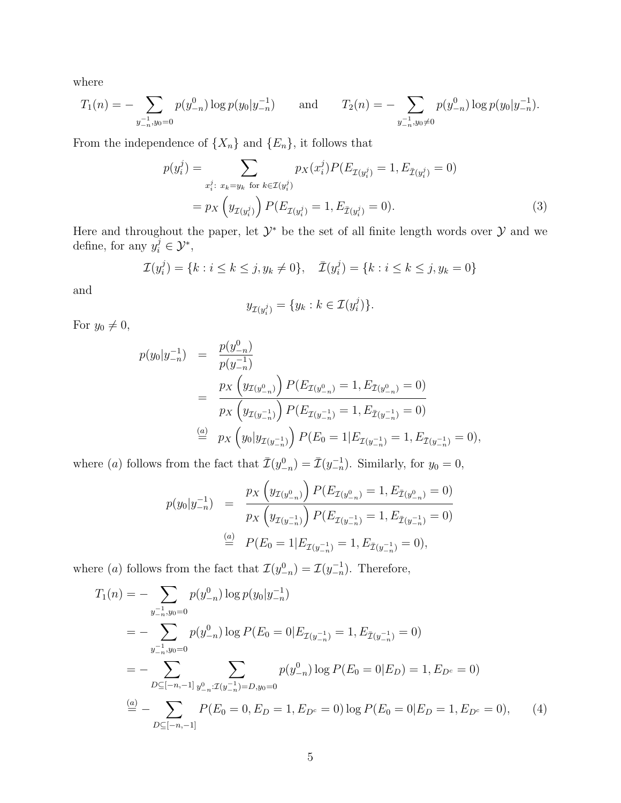where

$$
T_1(n) = -\sum_{y_{-n}^{-1}, y_0 = 0} p(y_{-n}^0) \log p(y_0 | y_{-n}^{-1}) \quad \text{and} \quad T_2(n) = -\sum_{y_{-n}^{-1}, y_0 \neq 0} p(y_{-n}^0) \log p(y_0 | y_{-n}^{-1}).
$$

From the independence of  $\{X_n\}$  and  $\{E_n\}$ , it follows that

$$
p(y_i^j) = \sum_{x_i^j: x_k = y_k \text{ for } k \in \mathcal{I}(y_i^j)} p_X(x_i^j) P(E_{\mathcal{I}(y_i^j)} = 1, E_{\bar{\mathcal{I}}(y_i^j)} = 0)
$$
  
=  $p_X \left( y_{\mathcal{I}(y_i^j)} \right) P(E_{\mathcal{I}(y_i^j)} = 1, E_{\bar{\mathcal{I}}(y_i^j)} = 0).$  (3)

Here and throughout the paper, let  $\mathcal{Y}^*$  be the set of all finite length words over  $\mathcal Y$  and we define, for any  $y_i^j \in \mathcal{Y}^*$ ,

$$
\mathcal{I}(y_i^j) = \{k : i \le k \le j, y_k \ne 0\}, \quad \bar{\mathcal{I}}(y_i^j) = \{k : i \le k \le j, y_k = 0\}
$$

and

<span id="page-4-1"></span>
$$
y_{\mathcal{I}(y_i^j)} = \{y_k : k \in \mathcal{I}(y_i^j)\}.
$$

For  $y_0 \neq 0$ ,

$$
p(y_0|y_{-n}^{-1}) = \frac{p(y_{-n}^0)}{p(y_{-n}^{-1})}
$$
  
= 
$$
\frac{p_X\left(y_{\mathcal{I}(y_{-n}^0)}\right)P(E_{\mathcal{I}(y_{-n}^0)} = 1, E_{\bar{\mathcal{I}}(y_{-n}^0)} = 0)
$$
  
= 
$$
\frac{p_X\left(y_{\mathcal{I}(y_{-n}^{-1})}\right)P(E_{\mathcal{I}(y_{-n}^{-1})} = 1, E_{\bar{\mathcal{I}}(y_{-n}^{-1})} = 0)
$$
  

$$
\stackrel{(a)}{=} p_X\left(y_0|y_{\mathcal{I}(y_{-n}^{-1})}\right)P(E_0 = 1|E_{\mathcal{I}(y_{-n}^{-1})} = 1, E_{\bar{\mathcal{I}}(y_{-n}^{-1})} = 0),
$$

where (a) follows from the fact that  $\bar{\mathcal{I}}(y_{-n}^0) = \bar{\mathcal{I}}(y_{-n}^{-1})$ . Similarly, for  $y_0 = 0$ ,

<span id="page-4-0"></span>
$$
p(y_0|y_{-n}^{-1}) = \frac{p_X\left(y_{\mathcal{I}(y_{-n}^0)}\right)P(E_{\mathcal{I}(y_{-n}^0)} = 1, E_{\bar{\mathcal{I}}(y_{-n}^0)} = 0)}{p_X\left(y_{\mathcal{I}(y_{-n}^{-1})}\right)P(E_{\mathcal{I}(y_{-n}^{-1})} = 1, E_{\bar{\mathcal{I}}(y_{-n}^{-1})} = 0)}
$$
  
\n
$$
\stackrel{(a)}{=} P(E_0 = 1|E_{\mathcal{I}(y_{-n}^{-1})} = 1, E_{\bar{\mathcal{I}}(y_{-n}^{-1})} = 0),
$$

where (*a*) follows from the fact that  $\mathcal{I}(y_{-n}^0) = \mathcal{I}(y_{-n}^{-1})$ . Therefore,

$$
T_1(n) = -\sum_{y_{-n}^{-1}, y_0=0} p(y_{-n}^0) \log p(y_0|y_{-n}^{-1})
$$
  
=  $-\sum_{y_{-n}^{-1}, y_0=0} p(y_{-n}^0) \log P(E_0 = 0|E_{\mathcal{I}(y_{-n}^{-1})} = 1, E_{\bar{\mathcal{I}}(y_{-n}^{-1})} = 0)$   
=  $-\sum_{D \subseteq [-n, -1]} \sum_{y_{-n}^0 : \mathcal{I}(y_{-n}^{-1}) = D, y_0=0} p(y_{-n}^0) \log P(E_0 = 0|E_D) = 1, E_{D^c} = 0)$   
 $\stackrel{(a)}{=} -\sum_{D \subseteq [-n, -1]} P(E_0 = 0, E_D = 1, E_{D^c} = 0) \log P(E_0 = 0|E_D = 1, E_{D^c} = 0),$  (4)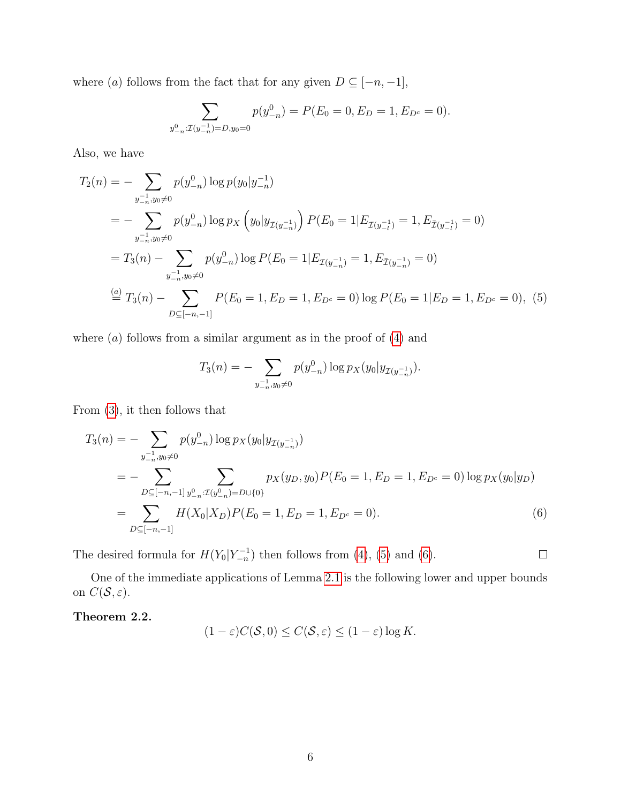where  $(a)$  follows from the fact that for any given  $D \subseteq [-n, -1]$ ,

$$
\sum_{y_{-n}^0 : \mathcal{I}(y_{-n}^{-1}) = D, y_0 = 0} p(y_{-n}^0) = P(E_0 = 0, E_D = 1, E_{D^c} = 0).
$$

Also, we have

$$
T_2(n) = -\sum_{y_{-n}^{-1}, y_0 \neq 0} p(y_{-n}^0) \log p(y_0 | y_{-n}^{-1})
$$
  
=  $-\sum_{y_{-n}^{-1}, y_0 \neq 0} p(y_{-n}^0) \log p_X \left(y_0 | y_{\mathcal{I}(y_{-n}^{-1})}\right) P(E_0 = 1 | E_{\mathcal{I}(y_{-l}^{-1})} = 1, E_{\bar{\mathcal{I}}(y_{-l}^{-1})} = 0)$   
=  $T_3(n) - \sum_{y_{-n}^{-1}, y_0 \neq 0} p(y_{-n}^0) \log P(E_0 = 1 | E_{\mathcal{I}(y_{-n}^{-1})} = 1, E_{\bar{\mathcal{I}}(y_{-n}^{-1})} = 0)$   
 $\stackrel{(a)}{=} T_3(n) - \sum_{D \subseteq [-n, -1]} P(E_0 = 1, E_D = 1, E_{D^c} = 0) \log P(E_0 = 1 | E_D = 1, E_{D^c} = 0), (5)$ 

where  $(a)$  follows from a similar argument as in the proof of  $(4)$  and

$$
T_3(n) = -\sum_{y_{-n}^{-1}, y_0 \neq 0} p(y_{-n}^0) \log p_X(y_0|y_{\mathcal{I}(y_{-n}^{-1})}).
$$

From [\(3\)](#page-4-1), it then follows that

$$
T_3(n) = -\sum_{y_{-n}^{-1}, y_0 \neq 0} p(y_{-n}^0) \log p_X(y_0 | y_{\mathcal{I}(y_{-n}^{-1})})
$$
  
= 
$$
-\sum_{D \subseteq [-n, -1]} \sum_{y_{-n}^0 : \mathcal{I}(y_{-n}^0) = D \cup \{0\}}
$$
  

$$
p_X(y_D, y_0) P(E_0 = 1, E_D = 1, E_{D^c} = 0) \log p_X(y_0 | y_D)
$$
  
= 
$$
\sum_{D \subseteq [-n, -1]} H(X_0 | X_D) P(E_0 = 1, E_D = 1, E_{D^c} = 0).
$$
 (6)

<span id="page-5-2"></span><span id="page-5-1"></span> $\Box$ 

The desired formula for  $H(Y_0|Y_{-n}^{-1})$  then follows from [\(4\)](#page-4-0), [\(5\)](#page-5-1) and [\(6\)](#page-5-2).

One of the immediate applications of Lemma [2.1](#page-3-0) is the following lower and upper bounds on  $C(\mathcal{S}, \varepsilon)$ .

<span id="page-5-0"></span>Theorem 2.2.

$$
(1 - \varepsilon)C(\mathcal{S}, 0) \le C(\mathcal{S}, \varepsilon) \le (1 - \varepsilon)\log K.
$$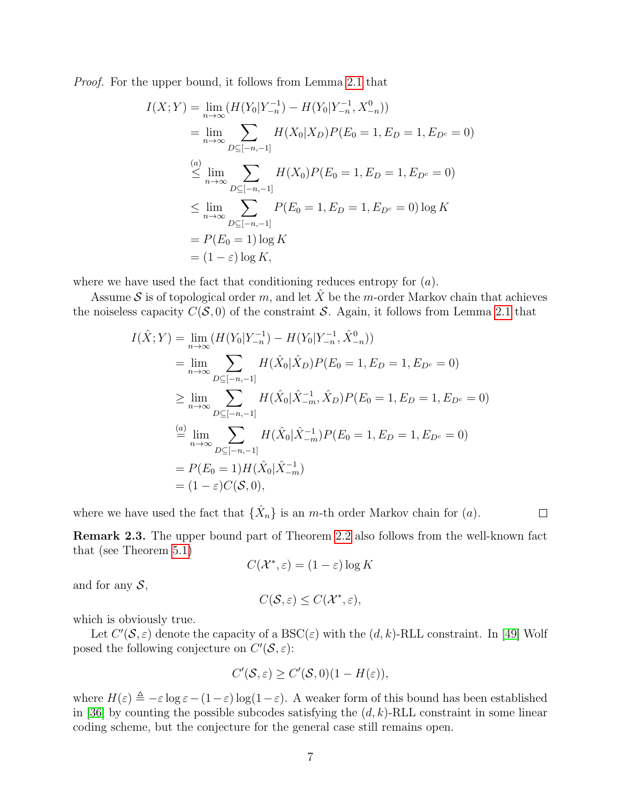Proof. For the upper bound, it follows from Lemma [2.1](#page-3-0) that

$$
I(X;Y) = \lim_{n \to \infty} (H(Y_0|Y_{-n}^{-1}) - H(Y_0|Y_{-n}^{-1}, X_{-n}^0))
$$
  
\n
$$
= \lim_{n \to \infty} \sum_{D \subseteq [-n, -1]} H(X_0|X_D)P(E_0 = 1, E_D = 1, E_{D^c} = 0)
$$
  
\n
$$
\stackrel{(a)}{\leq} \lim_{n \to \infty} \sum_{D \subseteq [-n, -1]} H(X_0)P(E_0 = 1, E_D = 1, E_{D^c} = 0)
$$
  
\n
$$
\leq \lim_{n \to \infty} \sum_{D \subseteq [-n, -1]} P(E_0 = 1, E_D = 1, E_{D^c} = 0) \log K
$$
  
\n
$$
= P(E_0 = 1) \log K
$$
  
\n
$$
= (1 - \varepsilon) \log K,
$$

where we have used the fact that conditioning reduces entropy for  $(a)$ .

Assume S is of topological order m, and let  $\hat{X}$  be the m-order Markov chain that achieves the noiseless capacity  $C(S, 0)$  of the constraint S. Again, it follows from Lemma [2.1](#page-3-0) that

$$
I(\hat{X}; Y) = \lim_{n \to \infty} (H(Y_0 | Y_{-n}^{-1}) - H(Y_0 | Y_{-n}^{-1}, \hat{X}_{-n}^0))
$$
  
\n
$$
= \lim_{n \to \infty} \sum_{D \subseteq [-n, -1]} H(\hat{X}_0 | \hat{X}_D) P(E_0 = 1, E_D = 1, E_{D^c} = 0)
$$
  
\n
$$
\geq \lim_{n \to \infty} \sum_{D \subseteq [-n, -1]} H(\hat{X}_0 | \hat{X}_{-m}^{-1}, \hat{X}_D) P(E_0 = 1, E_D = 1, E_{D^c} = 0)
$$
  
\n
$$
\stackrel{(a)}{=} \lim_{n \to \infty} \sum_{D \subseteq [-n, -1]} H(\hat{X}_0 | \hat{X}_{-m}^{-1}) P(E_0 = 1, E_D = 1, E_{D^c} = 0)
$$
  
\n
$$
= P(E_0 = 1) H(\hat{X}_0 | \hat{X}_{-m}^{-1})
$$
  
\n
$$
= (1 - \varepsilon) C(\mathcal{S}, 0),
$$

where we have used the fact that  $\{\hat{X}_n\}$  is an m-th order Markov chain for  $(a)$ .

Remark 2.3. The upper bound part of Theorem [2.2](#page-5-0) also follows from the well-known fact that (see Theorem [5.1\)](#page-21-0)

 $\Box$ 

$$
C(\mathcal{X}^*, \varepsilon) = (1 - \varepsilon) \log K
$$

and for any  $S$ ,

$$
C(\mathcal{S}, \varepsilon) \leq C(\mathcal{X}^*, \varepsilon),
$$

which is obviously true.

Let  $C'(\mathcal{S}, \varepsilon)$  denote the capacity of a BSC( $\varepsilon$ ) with the  $(d, k)$ -RLL constraint. In [\[49\]](#page-29-1) Wolf posed the following conjecture on  $C'(\mathcal{S}, \varepsilon)$ :

$$
C'(\mathcal{S}, \varepsilon) \ge C'(\mathcal{S}, 0)(1 - H(\varepsilon)),
$$

where  $H(\varepsilon) \triangleq -\varepsilon \log \varepsilon - (1-\varepsilon) \log(1-\varepsilon)$ . A weaker form of this bound has been established in [\[36\]](#page-28-3) by counting the possible subcodes satisfying the  $(d, k)$ -RLL constraint in some linear coding scheme, but the conjecture for the general case still remains open.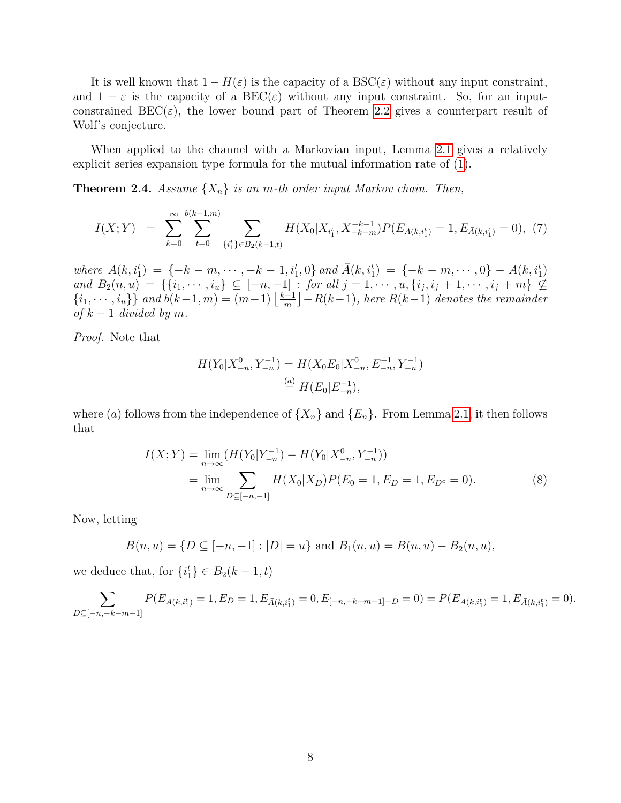It is well known that  $1 - H(\varepsilon)$  is the capacity of a  $BSC(\varepsilon)$  without any input constraint, and  $1 - \varepsilon$  is the capacity of a BEC( $\varepsilon$ ) without any input constraint. So, for an inputconstrained  $\text{BEC}(\varepsilon)$ , the lower bound part of Theorem [2.2](#page-5-0) gives a counterpart result of Wolf's conjecture.

When applied to the channel with a Markovian input, Lemma [2.1](#page-3-0) gives a relatively explicit series expansion type formula for the mutual information rate of [\(1\)](#page-0-0).

<span id="page-7-0"></span>**Theorem 2.4.** Assume  $\{X_n\}$  is an m-th order input Markov chain. Then,

$$
I(X;Y) = \sum_{k=0}^{\infty} \sum_{t=0}^{b(k-1,m)} \sum_{\{i_1^t\} \in B_2(k-1,t)} H(X_0 | X_{i_1^t}, X_{-k-m}^{-k-1}) P(E_{A(k,i_1^t)} = 1, E_{\bar{A}(k,i_1^t)} = 0), (7)
$$

where  $A(k, i_1^t) = \{-k - m, \dots, -k - 1, i_1^t, 0\}$  and  $\overline{A}(k, i_1^t) = \{-k - m, \dots, 0\} - A(k, i_1^t)$ and  $B_2(n, u) = \{ \{i_1, \dots, i_u\} \subseteq [-n, -1] : \text{for all } j = 1, \dots, u, \{i_j, i_j + 1, \dots, i_j + m\} \nsubseteq$  $\{i_1, \dots, i_u\}$  and  $b(k-1, m) = (m-1) \left\lfloor \frac{k-1}{m} \right\rfloor$  $\frac{n-1}{m}\rfloor +R(k-1)$ , here  $R(k-1)$  denotes the remainder of  $k-1$  divided by m.

Proof. Note that

$$
H(Y_0|X_{-n}^0, Y_{-n}^{-1}) = H(X_0E_0|X_{-n}^0, E_{-n}^{-1}, Y_{-n}^{-1})
$$
  
\n
$$
\stackrel{(a)}{=} H(E_0|E_{-n}^{-1}),
$$

where (a) follows from the independence of  $\{X_n\}$  and  $\{E_n\}$ . From Lemma [2.1,](#page-3-0) it then follows that

$$
I(X;Y) = \lim_{n \to \infty} (H(Y_0|Y_{-n}^{-1}) - H(Y_0|X_{-n}^0, Y_{-n}^{-1}))
$$
  
= 
$$
\lim_{n \to \infty} \sum_{D \subseteq [-n,-1]} H(X_0|X_D)P(E_0 = 1, E_D = 1, E_{D^c} = 0).
$$
 (8)

Now, letting

$$
B(n, u) = \{ D \subseteq [-n, -1] : |D| = u \} \text{ and } B_1(n, u) = B(n, u) - B_2(n, u),
$$

we deduce that, for  $\{i_1^t\} \in B_2(k-1,t)$ 

 $\sum$  $D \subseteq [-n,-k-m-1]$  $P(E_{A(k, i_1^t)} = 1, E_D = 1, E_{\bar{A}(k, i_1^t)} = 0, E_{[-n, -k-m-1]-D} = 0) = P(E_{A(k, i_1^t)} = 1, E_{\bar{A}(k, i_1^t)} = 0).$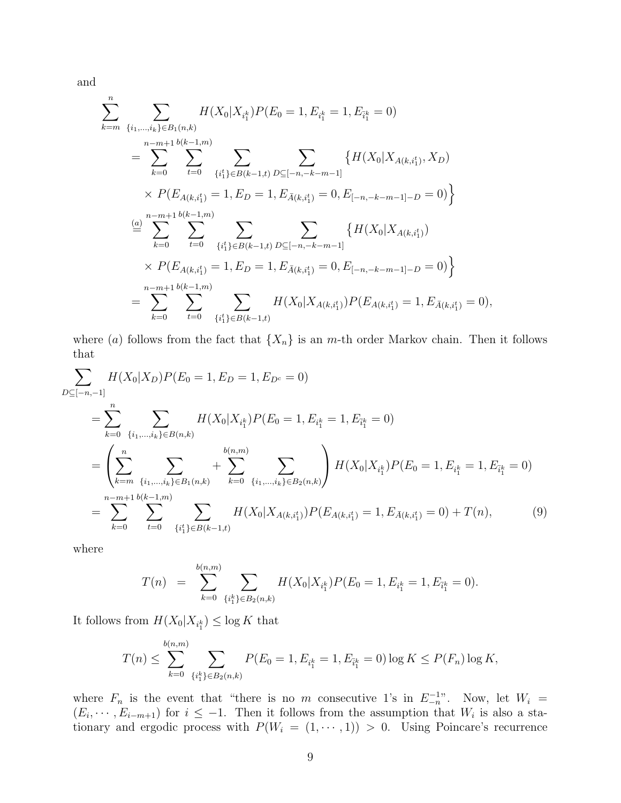and

$$
\sum_{k=m}^{n} \sum_{\{i_1,\dots,i_k\} \in B_1(n,k)} H(X_0|X_{i_1^k})P(E_0 = 1, E_{i_1^k} = 1, E_{\bar{i}_1^k} = 0)
$$
\n
$$
= \sum_{k=0}^{n-m+1} \sum_{t=0}^{b(k-1,m)} \sum_{\{i_1^t\} \in B(k-1,t)} \sum_{D \subseteq [-n,-k-m-1]} \{H(X_0|X_{A(k,i_1^t)}, X_D) \times P(E_{A(k,i_1^t)} = 1, E_D = 1, E_{\bar{A}(k,i_1^t)} = 0, E_{[-n,-k-m-1]-D} = 0) \}
$$
\n
$$
\stackrel{(a)}{=} \sum_{k=0}^{n-m+1} \sum_{t=0}^{b(k-1,m)} \sum_{\{i_1^t\} \in B(k-1,t)} \sum_{D \subseteq [-n,-k-m-1]} \{H(X_0|X_{A(k,i_1^t)}) \times P(E_{A(k,i_1^t)} = 1, E_D = 1, E_{\bar{A}(k,i_1^t)} = 0, E_{[-n,-k-m-1]-D} = 0) \}
$$
\n
$$
= \sum_{k=0}^{n-m+1} \sum_{t=0}^{b(k-1,m)} \sum_{\{i_1^t\} \in B(k-1,t)} H(X_0|X_{A(k,i_1^t)})P(E_{A(k,i_1^t)} = 1, E_{\bar{A}(k,i_1^t)} = 0),
$$

where (a) follows from the fact that  $\{X_n\}$  is an m-th order Markov chain. Then it follows that

$$
\sum_{D \subseteq [-n,-1]} H(X_0|X_D)P(E_0 = 1, E_D = 1, E_{D^c} = 0)
$$
\n
$$
= \sum_{k=0}^n \sum_{\{i_1,\dots,i_k\} \in B(n,k)} H(X_0|X_{i_1^k})P(E_0 = 1, E_{i_1^k} = 1, E_{\bar{i}_1^k} = 0)
$$
\n
$$
= \left(\sum_{k=m}^n \sum_{\{i_1,\dots,i_k\} \in B_1(n,k)} + \sum_{k=0}^{b(n,m)} \sum_{\{i_1,\dots,i_k\} \in B_2(n,k)}\right) H(X_0|X_{i_1^k})P(E_0 = 1, E_{i_1^k} = 1, E_{\bar{i}_1^k} = 0)
$$
\n
$$
= \sum_{k=0}^{n-m+1} \sum_{t=0}^{b(k-1,m)} \sum_{\{i_1^t\} \in B(k-1,t)} H(X_0|X_{A(k,i_1^t)})P(E_{A(k,i_1^t)} = 1, E_{\bar{A}(k,i_1^t)} = 0) + T(n), \tag{9}
$$

where

$$
T(n) = \sum_{k=0}^{b(n,m)} \sum_{\{i_1^k\} \in B_2(n,k)} H(X_0 | X_{i_1^k}) P(E_0 = 1, E_{i_1^k} = 1, E_{\bar{i}_1^k} = 0).
$$

It follows from  $H(X_0|X_{i_1^k}) \leq \log K$  that

$$
T(n) \le \sum_{k=0}^{b(n,m)} \sum_{\{i_1^k\} \in B_2(n,k)} P(E_0 = 1, E_{i_1^k} = 1, E_{i_1^k} = 0) \log K \le P(F_n) \log K,
$$

where  $F_n$  is the event that "there is no m consecutive 1's in  $E_{-n}^{-1}$ ". Now, let  $W_i =$  $(E_i, \dots, E_{i-m+1})$  for  $i \leq -1$ . Then it follows from the assumption that  $W_i$  is also a stationary and ergodic process with  $P(W_i = (1, \dots, 1)) > 0$ . Using Poincare's recurrence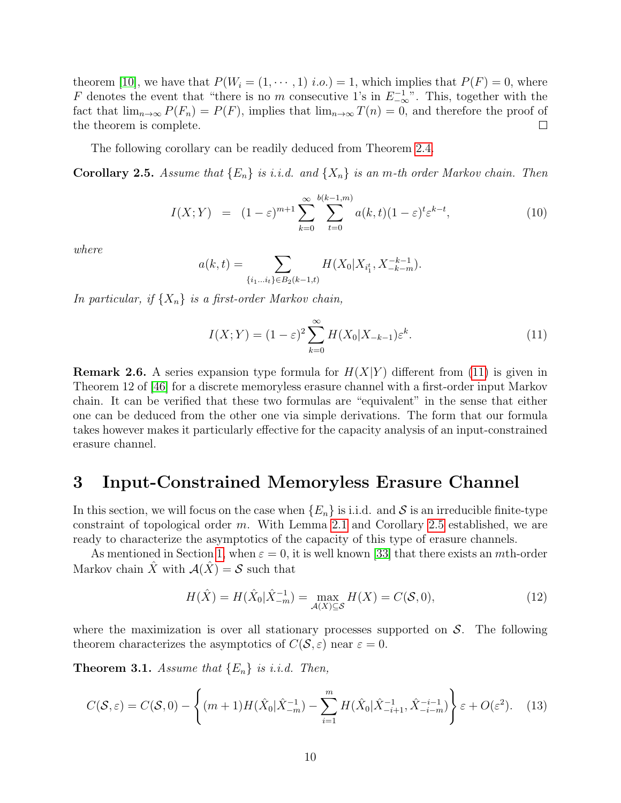theorem [\[10\]](#page-26-5), we have that  $P(W_i = (1, \dots, 1)$  *i.o.*) = 1, which implies that  $P(F) = 0$ , where F denotes the event that "there is no m consecutive 1's in  $E^{-1}_{-\infty}$ ". This, together with the fact that  $\lim_{n\to\infty} P(F_n) = P(F)$ , implies that  $\lim_{n\to\infty} T(n) = 0$ , and therefore the proof of the theorem is complete.  $\Box$ 

The following corollary can be readily deduced from Theorem [2.4.](#page-7-0)

<span id="page-9-0"></span>**Corollary 2.5.** Assume that  $\{E_n\}$  is i.i.d. and  $\{X_n\}$  is an m-th order Markov chain. Then

$$
I(X;Y) = (1 - \varepsilon)^{m+1} \sum_{k=0}^{\infty} \sum_{t=0}^{b(k-1,m)} a(k,t)(1 - \varepsilon)^t \varepsilon^{k-t}, \tag{10}
$$

where

$$
a(k,t) = \sum_{\{i_1...i_t\} \in B_2(k-1,t)} H(X_0 | X_{i_1^t}, X_{-k-m}^{-k-1}).
$$

In particular, if  $\{X_n\}$  is a first-order Markov chain,

<span id="page-9-3"></span>
$$
I(X;Y) = (1 - \varepsilon)^2 \sum_{k=0}^{\infty} H(X_0 | X_{-k-1}) \varepsilon^k.
$$
 (11)

**Remark 2.6.** A series expansion type formula for  $H(X|Y)$  different from [\(11\)](#page-9-3) is given in Theorem 12 of [\[46\]](#page-28-4) for a discrete memoryless erasure channel with a first-order input Markov chain. It can be verified that these two formulas are "equivalent" in the sense that either one can be deduced from the other one via simple derivations. The form that our formula takes however makes it particularly effective for the capacity analysis of an input-constrained erasure channel.

### <span id="page-9-1"></span>3 Input-Constrained Memoryless Erasure Channel

In this section, we will focus on the case when  ${E_n}$  is i.i.d. and S is an irreducible finite-type constraint of topological order m. With Lemma [2.1](#page-3-0) and Corollary [2.5](#page-9-0) established, we are ready to characterize the asymptotics of the capacity of this type of erasure channels.

As mentioned in Section [1,](#page-0-1) when  $\varepsilon = 0$ , it is well known [\[33\]](#page-27-2) that there exists an *m*th-order Markov chain  $\hat{X}$  with  $\mathcal{A}(\hat{X}) = \mathcal{S}$  such that

<span id="page-9-5"></span>
$$
H(\hat{X}) = H(\hat{X}_0 | \hat{X}_{-m}^{-1}) = \max_{\mathcal{A}(X) \subseteq \mathcal{S}} H(X) = C(\mathcal{S}, 0),
$$
\n(12)

where the maximization is over all stationary processes supported on  $S$ . The following theorem characterizes the asymptotics of  $C(S, \varepsilon)$  near  $\varepsilon = 0$ .

<span id="page-9-2"></span>**Theorem 3.1.** Assume that  $\{E_n\}$  is i.i.d. Then,

<span id="page-9-4"></span>
$$
C(\mathcal{S}, \varepsilon) = C(\mathcal{S}, 0) - \left\{ (m+1)H(\hat{X}_0 | \hat{X}_{-m}^{-1}) - \sum_{i=1}^m H(\hat{X}_0 | \hat{X}_{-i+1}^{-1}, \hat{X}_{-i-m}^{-i-1}) \right\} \varepsilon + O(\varepsilon^2). \tag{13}
$$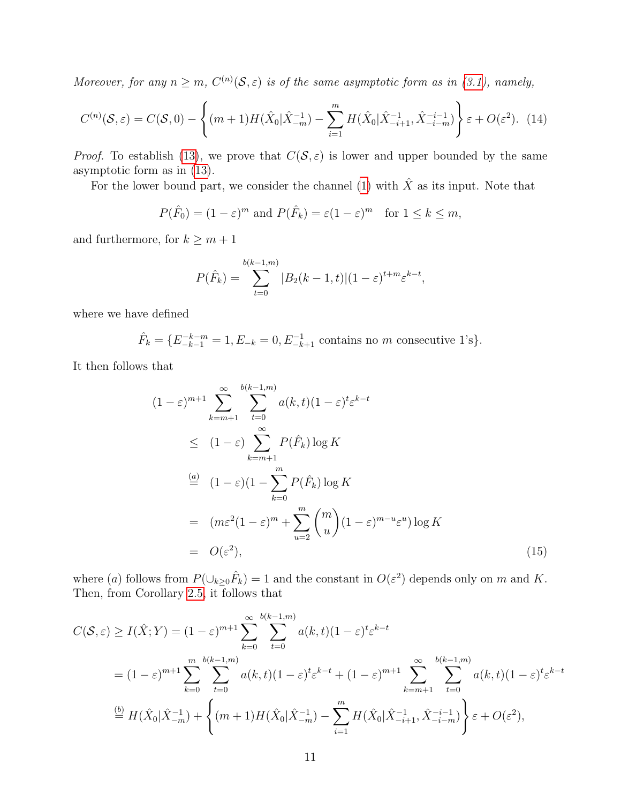Moreover, for any  $n \geq m$ ,  $C^{(n)}(\mathcal{S}, \varepsilon)$  is of the same asymptotic form as in [\(3.1\)](#page-9-2), namely,

<span id="page-10-1"></span>
$$
C^{(n)}(\mathcal{S}, \varepsilon) = C(\mathcal{S}, 0) - \left\{ (m+1)H(\hat{X}_0 | \hat{X}_{-m}^{-1}) - \sum_{i=1}^m H(\hat{X}_0 | \hat{X}_{-i+1}^{-1}, \hat{X}_{-i-m}^{-i-1}) \right\} \varepsilon + O(\varepsilon^2). \tag{14}
$$

*Proof.* To establish [\(13\)](#page-9-4), we prove that  $C(S, \varepsilon)$  is lower and upper bounded by the same asymptotic form as in [\(13\)](#page-9-4).

For the lower bound part, we consider the channel [\(1\)](#page-0-0) with  $\hat{X}$  as its input. Note that

$$
P(\hat{F}_0) = (1 - \varepsilon)^m
$$
 and  $P(\hat{F}_k) = \varepsilon (1 - \varepsilon)^m$  for  $1 \le k \le m$ ,

and furthermore, for  $k \geq m + 1$ 

$$
P(\hat{F}_k) = \sum_{t=0}^{b(k-1,m)} |B_2(k-1,t)| (1-\varepsilon)^{t+m} \varepsilon^{k-t},
$$

where we have defined

$$
\hat{F}_k = \{E_{-k-1}^{-k-m} = 1, E_{-k} = 0, E_{-k+1}^{-1} \text{ contains no } m \text{ consecutive } 1\text{'s}\}.
$$

It then follows that

<span id="page-10-0"></span>
$$
(1 - \varepsilon)^{m+1} \sum_{k=m+1}^{\infty} \sum_{t=0}^{b(k-1,m)} a(k,t)(1-\varepsilon)^t \varepsilon^{k-t}
$$
  
\n
$$
\leq (1 - \varepsilon) \sum_{k=m+1}^{\infty} P(\hat{F}_k) \log K
$$
  
\n
$$
\stackrel{(a)}{=} (1 - \varepsilon)(1 - \sum_{k=0}^{m} P(\hat{F}_k) \log K
$$
  
\n
$$
= (m\varepsilon^2(1-\varepsilon)^m + \sum_{u=2}^{m} {m \choose u} (1-\varepsilon)^{m-u} \varepsilon^u) \log K
$$
  
\n
$$
= O(\varepsilon^2), \qquad (15)
$$

where (a) follows from  $P(\cup_{k\geq 0} \hat{F}_k) = 1$  and the constant in  $O(\varepsilon^2)$  depends only on m and K. Then, from Corollary [2.5,](#page-9-0) it follows that

$$
C(S, \varepsilon) \ge I(\hat{X}; Y) = (1 - \varepsilon)^{m+1} \sum_{k=0}^{\infty} \sum_{t=0}^{b(k-1,m)} a(k, t)(1 - \varepsilon)^t \varepsilon^{k-t}
$$
  
=  $(1 - \varepsilon)^{m+1} \sum_{k=0}^{m} \sum_{t=0}^{b(k-1,m)} a(k, t)(1 - \varepsilon)^t \varepsilon^{k-t} + (1 - \varepsilon)^{m+1} \sum_{k=m+1}^{\infty} \sum_{t=0}^{b(k-1,m)} a(k, t)(1 - \varepsilon)^t \varepsilon^{k-t}$   

$$
\stackrel{(b)}{=} H(\hat{X}_0 | \hat{X}_{-m}^{-1}) + \left\{ (m+1)H(\hat{X}_0 | \hat{X}_{-m}^{-1}) - \sum_{i=1}^{m} H(\hat{X}_0 | \hat{X}_{-i+1}^{-1}, \hat{X}_{-i-m}^{-i-1}) \right\} \varepsilon + O(\varepsilon^2),
$$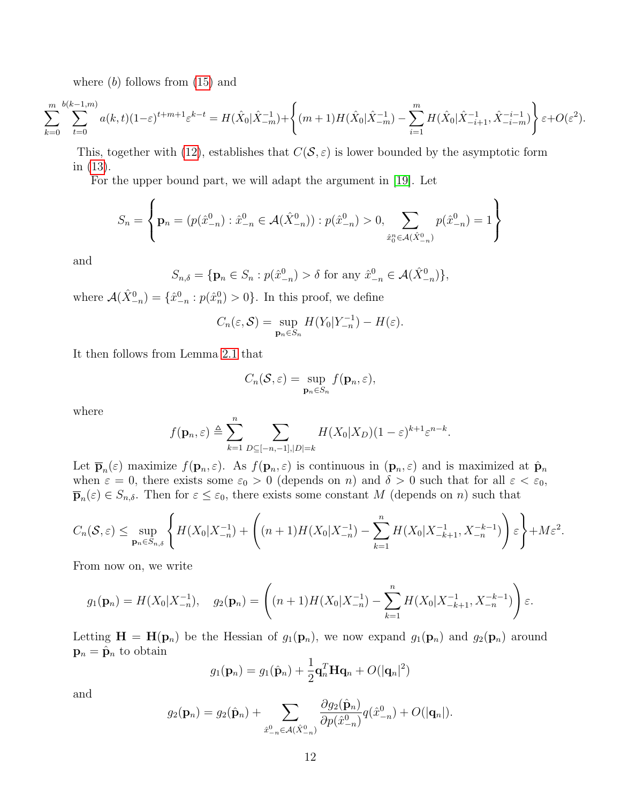where  $(b)$  follows from  $(15)$  and

$$
\sum_{k=0}^m \sum_{t=0}^{b(k-1,m)} a(k,t)(1-\varepsilon)^{t+m+1} \varepsilon^{k-t} = H(\hat{X}_0|\hat{X}_{-m}^{-1}) + \left\{(m+1)H(\hat{X}_0|\hat{X}_{-m}^{-1}) - \sum_{i=1}^m H(\hat{X}_0|\hat{X}_{-i+1}^{-1},\hat{X}_{-i-m}^{-i-1})\right\} \varepsilon + O(\varepsilon^2).
$$

This, together with [\(12\)](#page-9-5), establishes that  $C(S, \varepsilon)$  is lower bounded by the asymptotic form in [\(13\)](#page-9-4).

For the upper bound part, we will adapt the argument in [\[19\]](#page-27-4). Let

$$
S_n = \left\{ \mathbf{p}_n = (p(\hat{x}_{-n}^0) : \hat{x}_{-n}^0 \in \mathcal{A}(\hat{X}_{-n}^0)) : p(\hat{x}_{-n}^0) > 0, \sum_{\hat{x}_0^n \in \mathcal{A}(\hat{X}_{-n}^0)} p(\hat{x}_{-n}^0) = 1 \right\}
$$

and

$$
S_{n,\delta} = \{ \mathbf{p}_n \in S_n : p(\hat{x}_{-n}^0) > \delta \text{ for any } \hat{x}_{-n}^0 \in \mathcal{A}(\hat{X}_{-n}^0) \},
$$

where  $\mathcal{A}(\hat{X}_{-n}^0) = \{\hat{x}_{-n}^0 : p(\hat{x}_n^0) > 0\}$ . In this proof, we define

$$
C_n(\varepsilon,\mathcal{S}) = \sup_{\mathbf{p}_n \in S_n} H(Y_0|Y_{-n}^{-1}) - H(\varepsilon).
$$

It then follows from Lemma [2.1](#page-3-0) that

$$
C_n(\mathcal{S}, \varepsilon) = \sup_{\mathbf{p}_n \in S_n} f(\mathbf{p}_n, \varepsilon),
$$

where

$$
f(\mathbf{p}_n,\varepsilon) \triangleq \sum_{k=1}^n \sum_{D \subseteq [-n,-1],|D|=k} H(X_0|X_D)(1-\varepsilon)^{k+1} \varepsilon^{n-k}.
$$

Let  $\bar{\mathbf{p}}_n(\varepsilon)$  maximize  $f(\mathbf{p}_n, \varepsilon)$ . As  $f(\mathbf{p}_n, \varepsilon)$  is continuous in  $(\mathbf{p}_n, \varepsilon)$  and is maximized at  $\hat{\mathbf{p}}_n$ when  $\varepsilon = 0$ , there exists some  $\varepsilon_0 > 0$  (depends on n) and  $\delta > 0$  such that for all  $\varepsilon < \varepsilon_0$ ,  $\overline{\mathbf{p}}_n(\varepsilon) \in S_{n,\delta}$ . Then for  $\varepsilon \leq \varepsilon_0$ , there exists some constant M (depends on n) such that

$$
C_n(\mathcal{S}, \varepsilon) \le \sup_{\mathbf{p}_n \in S_{n,\delta}} \left\{ H(X_0 | X_{-n}^{-1}) + \left( (n+1)H(X_0 | X_{-n}^{-1}) - \sum_{k=1}^n H(X_0 | X_{-k+1}^{-1}, X_{-n}^{-k-1}) \right) \varepsilon \right\} + M\varepsilon^2.
$$

From now on, we write

$$
g_1(\mathbf{p}_n) = H(X_0|X_{-n}^{-1}), \quad g_2(\mathbf{p}_n) = \left( (n+1)H(X_0|X_{-n}^{-1}) - \sum_{k=1}^n H(X_0|X_{-k+1}^{-1}, X_{-n}^{-k-1}) \right) \varepsilon.
$$

Letting  $\mathbf{H} = \mathbf{H}(\mathbf{p}_n)$  be the Hessian of  $g_1(\mathbf{p}_n)$ , we now expand  $g_1(\mathbf{p}_n)$  and  $g_2(\mathbf{p}_n)$  around  $\mathbf{p}_n = \hat{\mathbf{p}}_n$  to obtain

$$
g_1(\mathbf{p}_n) = g_1(\hat{\mathbf{p}}_n) + \frac{1}{2}\mathbf{q}_n^T \mathbf{H} \mathbf{q}_n + O(|\mathbf{q}_n|^2)
$$

and

$$
g_2(\mathbf{p}_n) = g_2(\hat{\mathbf{p}}_n) + \sum_{\hat{x}_{-n}^0 \in \mathcal{A}(\hat{X}_{-n}^0)} \frac{\partial g_2(\hat{\mathbf{p}}_n)}{\partial p(\hat{x}_{-n}^0)} q(\hat{x}_{-n}^0) + O(|\mathbf{q}_n|).
$$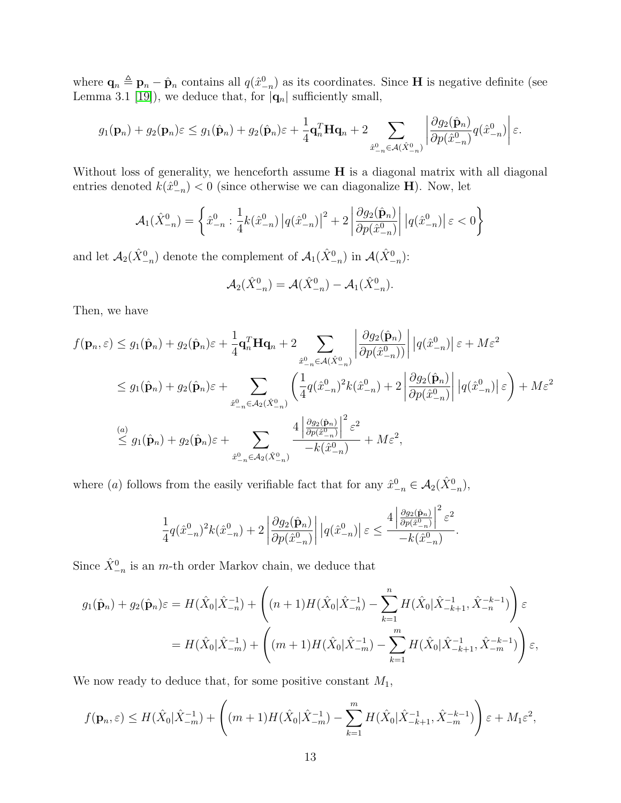where  $\mathbf{q}_n \triangleq \mathbf{p}_n - \hat{\mathbf{p}}_n$  contains all  $q(\hat{x}_{-n}^0)$  as its coordinates. Since **H** is negative definite (see Lemma 3.1 [\[19\]](#page-27-4)), we deduce that, for  $|\mathbf{q}_n|$  sufficiently small,

$$
g_1(\mathbf{p}_n)+g_2(\mathbf{p}_n)\varepsilon \leq g_1(\hat{\mathbf{p}}_n)+g_2(\hat{\mathbf{p}}_n)\varepsilon+\frac{1}{4}\mathbf{q}_n^T\mathbf{H}\mathbf{q}_n+2\sum_{\hat{x}_{-n}^0\in\mathcal{A}(\hat{X}_{-n}^0)}\left|\frac{\partial g_2(\hat{\mathbf{p}}_n)}{\partial p(\hat{x}_{-n}^0)}q(\hat{x}_{-n}^0)\right|\varepsilon.
$$

Without loss of generality, we henceforth assume **H** is a diagonal matrix with all diagonal entries denoted  $k(\hat{x}_{-n}^0) < 0$  (since otherwise we can diagonalize **H**). Now, let

$$
\mathcal{A}_1(\hat{X}_{-n}^0) = \left\{ \hat{x}_{-n}^0 : \frac{1}{4} k(\hat{x}_{-n}^0) \left| q(\hat{x}_{-n}^0) \right|^2 + 2 \left| \frac{\partial g_2(\hat{\mathbf{p}}_n)}{\partial p(\hat{x}_{-n}^0)} \right| \left| q(\hat{x}_{-n}^0) \right| \varepsilon < 0 \right\}
$$

and let  $\mathcal{A}_2(\hat{X}_{-n}^0)$  denote the complement of  $\mathcal{A}_1(\hat{X}_{-n}^0)$  in  $\mathcal{A}(\hat{X}_{-n}^0)$ :

$$
\mathcal{A}_2(\hat{X}_{-n}^0) = \mathcal{A}(\hat{X}_{-n}^0) - \mathcal{A}_1(\hat{X}_{-n}^0).
$$

Then, we have

$$
f(\mathbf{p}_n, \varepsilon) \leq g_1(\hat{\mathbf{p}}_n) + g_2(\hat{\mathbf{p}}_n)\varepsilon + \frac{1}{4}\mathbf{q}_n^T \mathbf{H} \mathbf{q}_n + 2 \sum_{\hat{x}_{-n}^0 \in \mathcal{A}(\hat{X}_{-n}^0)} \left| \frac{\partial g_2(\hat{\mathbf{p}}_n)}{\partial p(\hat{x}_{-n}^0)} \right| |q(\hat{x}_{-n}^0)| \varepsilon + M\varepsilon^2
$$
  

$$
\leq g_1(\hat{\mathbf{p}}_n) + g_2(\hat{\mathbf{p}}_n)\varepsilon + \sum_{\hat{x}_{-n}^0 \in \mathcal{A}_2(\hat{X}_{-n}^0)} \left( \frac{1}{4} q(\hat{x}_{-n}^0)^2 k(\hat{x}_{-n}^0) + 2 \left| \frac{\partial g_2(\hat{\mathbf{p}}_n)}{\partial p(\hat{x}_{-n}^0)} \right| |q(\hat{x}_{-n}^0)| \varepsilon \right) + M\varepsilon^2
$$
  

$$
\stackrel{(a)}{\leq} g_1(\hat{\mathbf{p}}_n) + g_2(\hat{\mathbf{p}}_n)\varepsilon + \sum_{\hat{x}_{-n}^0 \in \mathcal{A}_2(\hat{X}_{-n}^0)} \frac{4 \left| \frac{\partial g_2(\hat{\mathbf{p}}_n)}{\partial p(\hat{x}_{-n}^0)} \right|^2 \varepsilon^2}{-k(\hat{x}_{-n}^0)} + M\varepsilon^2,
$$

where (a) follows from the easily verifiable fact that for any  $\hat{x}^0_{-n} \in \mathcal{A}_2(\hat{X}^0_{-n}),$ 

$$
\frac{1}{4}q(\hat x_{-n}^0)^2k(\hat x_{-n}^0)+2\left|\frac{\partial g_2(\hat{\mathbf p}_n)}{\partial p(\hat x_{-n}^0)}\right|\left|q(\hat x_{-n}^0)\right|\varepsilon\leq\frac{4\left|\frac{\partial g_2(\hat{\mathbf p}_n)}{\partial p(\hat x_{-n}^0)}\right|^2\varepsilon^2}{-k(\hat x_{-n}^0)}.
$$

Since  $\hat{X}_{-n}^0$  is an *m*-th order Markov chain, we deduce that

$$
g_1(\hat{\mathbf{p}}_n) + g_2(\hat{\mathbf{p}}_n)\varepsilon = H(\hat{X}_0|\hat{X}_{-n}^{-1}) + \left( (n+1)H(\hat{X}_0|\hat{X}_{-n}^{-1}) - \sum_{k=1}^n H(\hat{X}_0|\hat{X}_{-k+1}^{-1}, \hat{X}_{-n}^{-k-1}) \right) \varepsilon
$$
  
=  $H(\hat{X}_0|\hat{X}_{-m}^{-1}) + \left( (m+1)H(\hat{X}_0|\hat{X}_{-m}^{-1}) - \sum_{k=1}^m H(\hat{X}_0|\hat{X}_{-k+1}^{-1}, \hat{X}_{-m}^{-k-1}) \right) \varepsilon,$ 

We now ready to deduce that, for some positive constant  $M_1$ ,

$$
f(\mathbf{p}_n, \varepsilon) \le H(\hat{X}_0 | \hat{X}_{-m}^{-1}) + \left( (m+1)H(\hat{X}_0 | \hat{X}_{-m}^{-1}) - \sum_{k=1}^m H(\hat{X}_0 | \hat{X}_{-k+1}^{-1}, \hat{X}_{-m}^{-k-1}) \right) \varepsilon + M_1 \varepsilon^2,
$$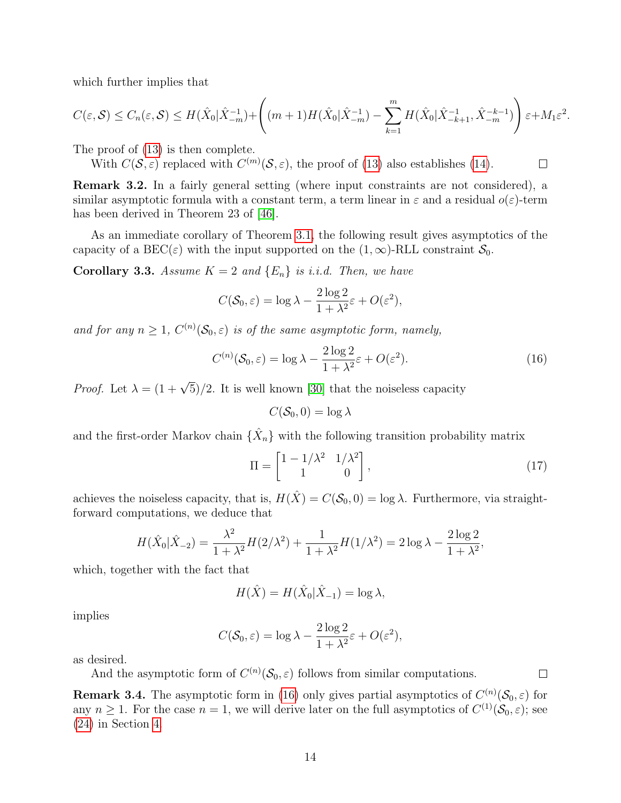which further implies that

$$
C(\varepsilon, \mathcal{S}) \le C_n(\varepsilon, \mathcal{S}) \le H(\hat{X}_0 | \hat{X}_{-m}^{-1}) + \left( (m+1)H(\hat{X}_0 | \hat{X}_{-m}^{-1}) - \sum_{k=1}^m H(\hat{X}_0 | \hat{X}_{-k+1}^{-1}, \hat{X}_{-m}^{-k-1}) \right) \varepsilon + M_1 \varepsilon^2.
$$

The proof of [\(13\)](#page-9-4) is then complete.

With  $C(S, \varepsilon)$  replaced with  $C^{(m)}(S, \varepsilon)$ , the proof of [\(13\)](#page-9-4) also establishes [\(14\)](#page-10-1).

Remark 3.2. In a fairly general setting (where input constraints are not considered), a similar asymptotic formula with a constant term, a term linear in  $\varepsilon$  and a residual  $o(\varepsilon)$ -term has been derived in Theorem 23 of [\[46\]](#page-28-4).

As an immediate corollary of Theorem [3.1,](#page-9-2) the following result gives asymptotics of the capacity of a BEC( $\varepsilon$ ) with the input supported on the  $(1,\infty)$ -RLL constraint  $\mathcal{S}_0$ .

**Corollary 3.3.** Assume  $K = 2$  and  $\{E_n\}$  is i.i.d. Then, we have

$$
C(\mathcal{S}_0, \varepsilon) = \log \lambda - \frac{2 \log 2}{1 + \lambda^2} \varepsilon + O(\varepsilon^2),
$$

and for any  $n \geq 1$ ,  $C^{(n)}(\mathcal{S}_0, \varepsilon)$  is of the same asymptotic form, namely,

<span id="page-13-0"></span>
$$
C^{(n)}(\mathcal{S}_0, \varepsilon) = \log \lambda - \frac{2\log 2}{1 + \lambda^2} \varepsilon + O(\varepsilon^2). \tag{16}
$$

 $\Box$ 

 $\Box$ 

*Proof.* Let  $\lambda = (1 + \sqrt{5})/2$ . It is well known [\[30\]](#page-27-0) that the noiseless capacity

$$
C(\mathcal{S}_0,0)=\log\lambda
$$

and the first-order Markov chain  $\{\hat{X}_n\}$  with the following transition probability matrix

<span id="page-13-1"></span>
$$
\Pi = \begin{bmatrix} 1 - 1/\lambda^2 & 1/\lambda^2 \\ 1 & 0 \end{bmatrix},\tag{17}
$$

achieves the noiseless capacity, that is,  $H(\hat{X}) = C(\mathcal{S}_0, 0) = \log \lambda$ . Furthermore, via straightforward computations, we deduce that

$$
H(\hat{X}_0|\hat{X}_{-2}) = \frac{\lambda^2}{1+\lambda^2}H(2/\lambda^2) + \frac{1}{1+\lambda^2}H(1/\lambda^2) = 2\log\lambda - \frac{2\log 2}{1+\lambda^2},
$$

which, together with the fact that

$$
H(\hat{X}) = H(\hat{X}_0 | \hat{X}_{-1}) = \log \lambda,
$$

implies

$$
C(\mathcal{S}_0, \varepsilon) = \log \lambda - \frac{2 \log 2}{1 + \lambda^2} \varepsilon + O(\varepsilon^2),
$$

as desired.

And the asymptotic form of  $C^{(n)}(\mathcal{S}_0, \varepsilon)$  follows from similar computations.

**Remark 3.4.** The asymptotic form in [\(16\)](#page-13-0) only gives partial asymptotics of  $C^{(n)}(\mathcal{S}_0, \varepsilon)$  for any  $n \geq 1$ . For the case  $n = 1$ , we will derive later on the full asymptotics of  $C^{(1)}(\mathcal{S}_0, \varepsilon)$ ; see [\(24\)](#page-19-1) in Section [4.](#page-14-0)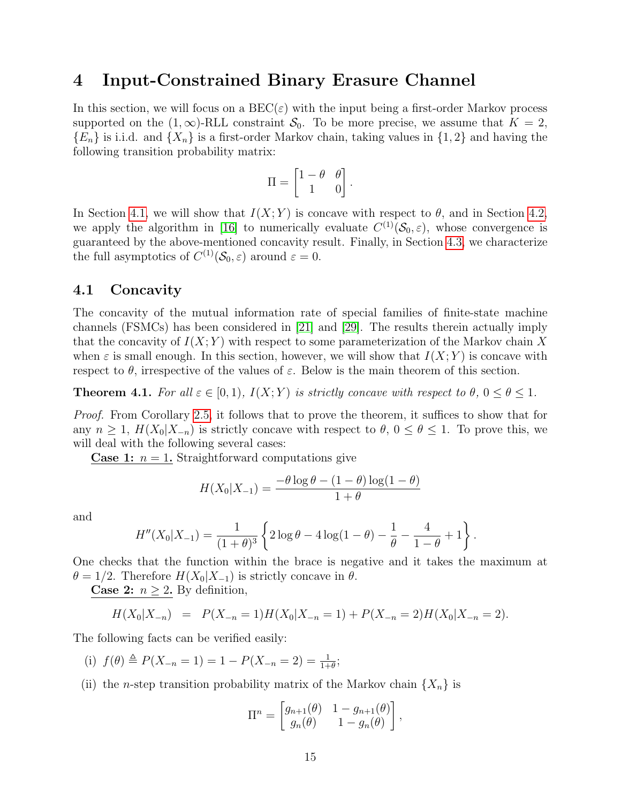#### <span id="page-14-0"></span>4 Input-Constrained Binary Erasure Channel

In this section, we will focus on a  $\text{BEC}(\varepsilon)$  with the input being a first-order Markov process supported on the  $(1, \infty)$ -RLL constraint  $S_0$ . To be more precise, we assume that  $K = 2$ ,  ${E_n}$  is i.i.d. and  ${X_n}$  is a first-order Markov chain, taking values in  ${1,2}$  and having the following transition probability matrix:

$$
\Pi = \begin{bmatrix} 1 - \theta & \theta \\ 1 & 0 \end{bmatrix}.
$$

In Section [4.1,](#page-14-2) we will show that  $I(X; Y)$  is concave with respect to  $\theta$ , and in Section [4.2,](#page-17-0) we apply the algorithm in [\[16\]](#page-26-4) to numerically evaluate  $C^{(1)}(\mathcal{S}_0,\varepsilon)$ , whose convergence is guaranteed by the above-mentioned concavity result. Finally, in Section [4.3,](#page-18-0) we characterize the full asymptotics of  $C^{(1)}(\mathcal{S}_0, \varepsilon)$  around  $\varepsilon = 0$ .

#### <span id="page-14-2"></span>4.1 Concavity

The concavity of the mutual information rate of special families of finite-state machine channels (FSMCs) has been considered in [\[21\]](#page-27-7) and [\[29\]](#page-27-8). The results therein actually imply that the concavity of  $I(X; Y)$  with respect to some parameterization of the Markov chain X when  $\varepsilon$  is small enough. In this section, however, we will show that  $I(X; Y)$  is concave with respect to  $\theta$ , irrespective of the values of  $\varepsilon$ . Below is the main theorem of this section.

<span id="page-14-1"></span>**Theorem 4.1.** For all  $\varepsilon \in [0,1)$ ,  $I(X;Y)$  is strictly concave with respect to  $\theta$ ,  $0 \le \theta \le 1$ .

Proof. From Corollary [2.5,](#page-9-0) it follows that to prove the theorem, it suffices to show that for any  $n \geq 1$ ,  $H(X_0|X_{-n})$  is strictly concave with respect to  $\theta$ ,  $0 \leq \theta \leq 1$ . To prove this, we will deal with the following several cases:

**Case 1:**  $n = 1$ . Straightforward computations give

$$
H(X_0|X_{-1}) = \frac{-\theta \log \theta - (1-\theta) \log(1-\theta)}{1+\theta}
$$

and

$$
H''(X_0|X_{-1}) = \frac{1}{(1+\theta)^3} \left\{ 2\log\theta - 4\log(1-\theta) - \frac{1}{\theta} - \frac{4}{1-\theta} + 1 \right\}.
$$

One checks that the function within the brace is negative and it takes the maximum at  $\theta = 1/2$ . Therefore  $H(X_0|X_{-1})$  is strictly concave in  $\theta$ .

**Case 2:**  $n \geq 2$ . By definition,

$$
H(X_0|X_{-n}) = P(X_{-n} = 1)H(X_0|X_{-n} = 1) + P(X_{-n} = 2)H(X_0|X_{-n} = 2).
$$

The following facts can be verified easily:

- (i)  $f(\theta) \triangleq P(X_{-n} = 1) = 1 P(X_{-n} = 2) = \frac{1}{1+\theta};$
- (ii) the *n*-step transition probability matrix of the Markov chain  $\{X_n\}$  is

$$
\Pi^n = \begin{bmatrix} g_{n+1}(\theta) & 1 - g_{n+1}(\theta) \\ g_n(\theta) & 1 - g_n(\theta) \end{bmatrix},
$$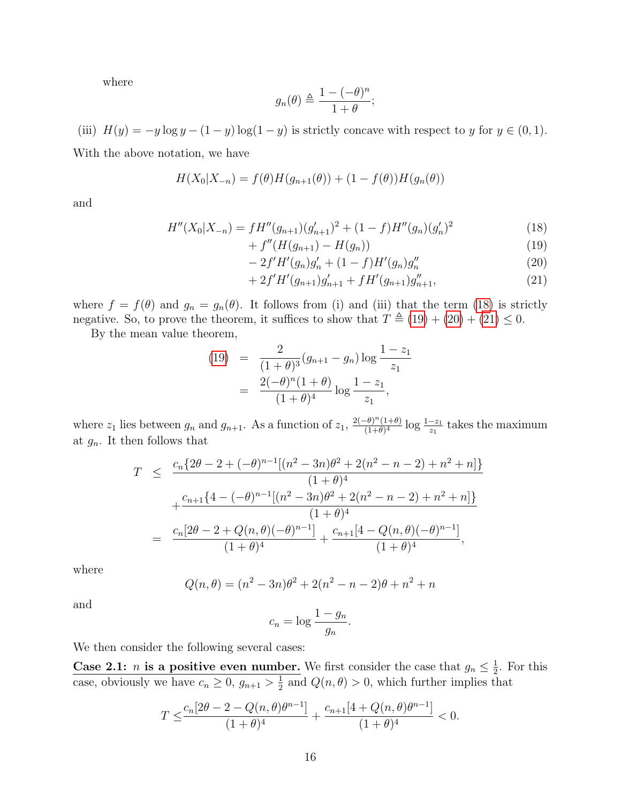where

$$
g_n(\theta) \triangleq \frac{1 - (-\theta)^n}{1 + \theta};
$$

(iii)  $H(y) = -y \log y - (1 - y) \log(1 - y)$  is strictly concave with respect to y for  $y \in (0, 1)$ . With the above notation, we have

$$
H(X_0|X_{-n}) = f(\theta)H(g_{n+1}(\theta)) + (1 - f(\theta))H(g_n(\theta))
$$

and

$$
H''(X_0|X_{-n}) = fH''(g_{n+1})(g'_{n+1})^2 + (1-f)H''(g_n)(g'_n)^2
$$
\n(18)

<span id="page-15-1"></span><span id="page-15-0"></span>
$$
+ f''(H(g_{n+1}) - H(g_n)) \tag{19}
$$

<span id="page-15-2"></span>
$$
-2f'H'(g_n)g'_n + (1-f)H'(g_n)g''_n \tag{20}
$$

<span id="page-15-3"></span>
$$
+ 2f'H'(g_{n+1})g'_{n+1} + fH'(g_{n+1})g''_{n+1},
$$
\n(21)

where  $f = f(\theta)$  and  $g_n = g_n(\theta)$ . It follows from (i) and (iii) that the term [\(18\)](#page-15-0) is strictly negative. So, to prove the theorem, it suffices to show that  $T \triangleq (19) + (20) + (21) \leq 0$  $T \triangleq (19) + (20) + (21) \leq 0$  $T \triangleq (19) + (20) + (21) \leq 0$  $T \triangleq (19) + (20) + (21) \leq 0$  $T \triangleq (19) + (20) + (21) \leq 0$  $T \triangleq (19) + (20) + (21) \leq 0$  $T \triangleq (19) + (20) + (21) \leq 0$ .

By the mean value theorem,

$$
(19) = \frac{2}{(1+\theta)^3} (g_{n+1} - g_n) \log \frac{1-z_1}{z_1}
$$
  
= 
$$
\frac{2(-\theta)^n (1+\theta)}{(1+\theta)^4} \log \frac{1-z_1}{z_1},
$$

where  $z_1$  lies between  $g_n$  and  $g_{n+1}$ . As a function of  $z_1$ ,  $\frac{2(-\theta)^n(1+\theta)}{(1+\theta)^4}$  $\frac{(-\theta)^n(1+\theta)}{(1+\theta)^4} \log \frac{1-z_1}{z_1}$  takes the maximum at  $g_n$ . It then follows that

$$
T \leq \frac{c_n \{2\theta - 2 + (-\theta)^{n-1} [(n^2 - 3n)\theta^2 + 2(n^2 - n - 2) + n^2 + n] \}}{(1 + \theta)^4} + \frac{c_{n+1} \{4 - (-\theta)^{n-1} [(n^2 - 3n)\theta^2 + 2(n^2 - n - 2) + n^2 + n] \}}{(1 + \theta)^4} = \frac{c_n [2\theta - 2 + Q(n, \theta)(-\theta)^{n-1}]}{(1 + \theta)^4} + \frac{c_{n+1} [4 - Q(n, \theta)(-\theta)^{n-1}]}{(1 + \theta)^4},
$$

where

$$
Q(n, \theta) = (n^2 - 3n)\theta^2 + 2(n^2 - n - 2)\theta + n^2 + n
$$

and

$$
c_n = \log \frac{1 - g_n}{g_n}.
$$

We then consider the following several cases:

Case 2.1: *n* is a positive even number. We first consider the case that  $g_n \leq \frac{1}{2}$  $\frac{1}{2}$ . For this case, obviously we have  $c_n \geq 0$ ,  $g_{n+1} > \frac{1}{2}$  $\frac{1}{2}$  and  $Q(n, \theta) > 0$ , which further implies that

$$
T \leq \frac{c_n[2\theta - 2 - Q(n,\theta)\theta^{n-1}]}{(1+\theta)^4} + \frac{c_{n+1}[4+Q(n,\theta)\theta^{n-1}]}{(1+\theta)^4} < 0.
$$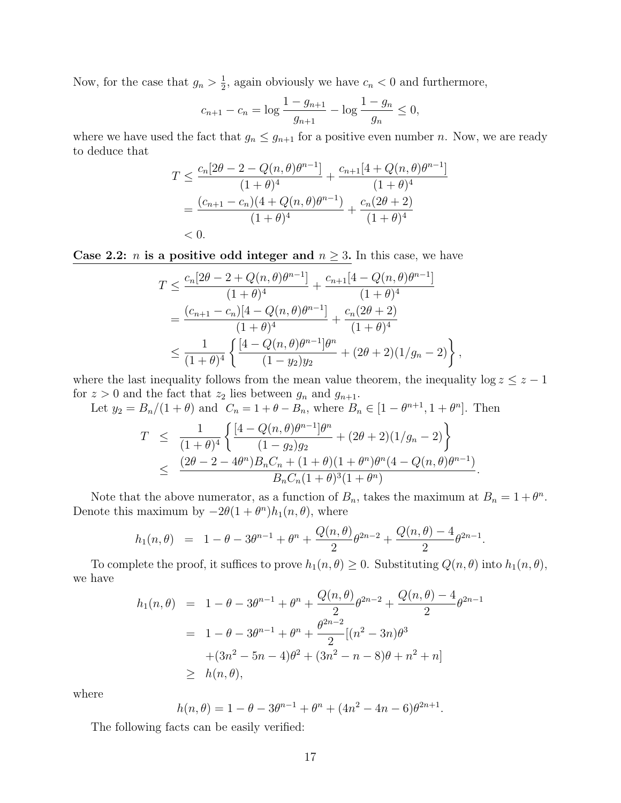Now, for the case that  $g_n > \frac{1}{2}$  $\frac{1}{2}$ , again obviously we have  $c_n < 0$  and furthermore,

$$
c_{n+1} - c_n = \log \frac{1 - g_{n+1}}{g_{n+1}} - \log \frac{1 - g_n}{g_n} \le 0,
$$

where we have used the fact that  $g_n \leq g_{n+1}$  for a positive even number n. Now, we are ready to deduce that

$$
T \leq \frac{c_n[2\theta - 2 - Q(n, \theta)\theta^{n-1}]}{(1+\theta)^4} + \frac{c_{n+1}[4 + Q(n, \theta)\theta^{n-1}]}{(1+\theta)^4}
$$
  
= 
$$
\frac{(c_{n+1} - c_n)(4 + Q(n, \theta)\theta^{n-1})}{(1+\theta)^4} + \frac{c_n(2\theta + 2)}{(1+\theta)^4}
$$
  
< 0.

Case 2.2: *n* is a positive odd integer and  $n \geq 3$ . In this case, we have

$$
T \leq \frac{c_n[2\theta - 2 + Q(n, \theta)\theta^{n-1}]}{(1+\theta)^4} + \frac{c_{n+1}[4 - Q(n, \theta)\theta^{n-1}]}{(1+\theta)^4}
$$
  
= 
$$
\frac{(c_{n+1} - c_n)[4 - Q(n, \theta)\theta^{n-1}]}{(1+\theta)^4} + \frac{c_n(2\theta + 2)}{(1+\theta)^4}
$$
  

$$
\leq \frac{1}{(1+\theta)^4} \left\{ \frac{[4 - Q(n, \theta)\theta^{n-1}]\theta^n}{(1 - y_2)y_2} + (2\theta + 2)(1/g_n - 2) \right\}
$$

where the last inequality follows from the mean value theorem, the inequality  $\log z \leq z - 1$ for  $z > 0$  and the fact that  $z_2$  lies between  $g_n$  and  $g_{n+1}$ .

,

Let  $y_2 = B_n/(1 + \theta)$  and  $C_n = 1 + \theta - B_n$ , where  $B_n \in [1 - \theta^{n+1}, 1 + \theta^n]$ . Then

$$
T \leq \frac{1}{(1+\theta)^4} \left\{ \frac{[4-Q(n,\theta)\theta^{n-1}]\theta^n}{(1-g_2)g_2} + (2\theta+2)(1/g_n-2) \right\}
$$
  
 
$$
\leq \frac{(2\theta-2-4\theta^n)B_nC_n + (1+\theta)(1+\theta^n)\theta^n(4-Q(n,\theta)\theta^{n-1})}{B_nC_n(1+\theta)^3(1+\theta^n)}.
$$

Note that the above numerator, as a function of  $B_n$ , takes the maximum at  $B_n = 1 + \theta^n$ . Denote this maximum by  $-2\theta(1+\theta^n)h_1(n,\theta)$ , where

$$
h_1(n,\theta) = 1 - \theta - 3\theta^{n-1} + \theta^n + \frac{Q(n,\theta)}{2}\theta^{2n-2} + \frac{Q(n,\theta) - 4}{2}\theta^{2n-1}.
$$

To complete the proof, it suffices to prove  $h_1(n, \theta) \geq 0$ . Substituting  $Q(n, \theta)$  into  $h_1(n, \theta)$ , we have

$$
h_1(n,\theta) = 1 - \theta - 3\theta^{n-1} + \theta^n + \frac{Q(n,\theta)}{2}\theta^{2n-2} + \frac{Q(n,\theta) - 4}{2}\theta^{2n-1}
$$
  
= 1 - \theta - 3\theta^{n-1} + \theta^n + \frac{\theta^{2n-2}}{2}[(n^2 - 3n)\theta^3  
+(3n^2 - 5n - 4)\theta^2 + (3n^2 - n - 8)\theta + n^2 + n]  
\ge h(n,\theta),

where

$$
h(n,\theta) = 1 - \theta - 3\theta^{n-1} + \theta^n + (4n^2 - 4n - 6)\theta^{2n+1}.
$$

The following facts can be easily verified: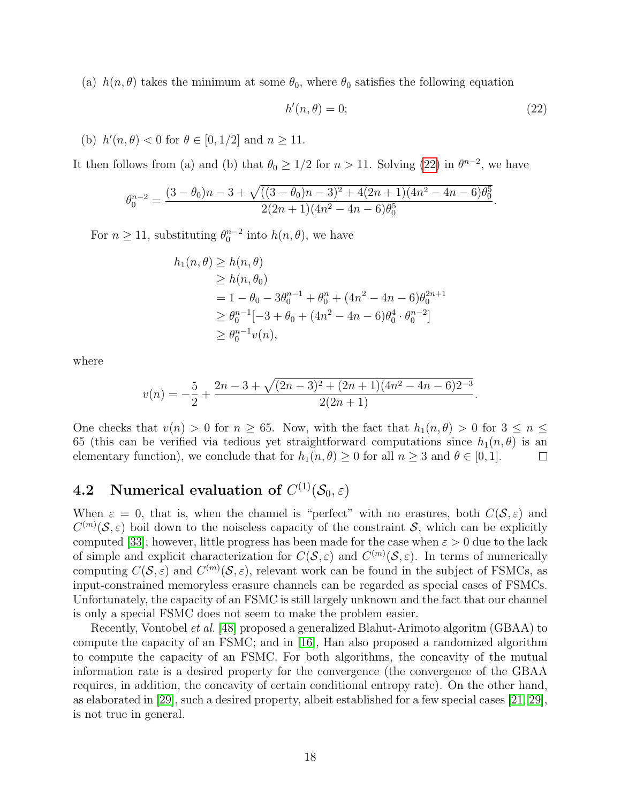(a)  $h(n, \theta)$  takes the minimum at some  $\theta_0$ , where  $\theta_0$  satisfies the following equation

<span id="page-17-1"></span>
$$
h'(n,\theta) = 0;\t(22)
$$

.

(b)  $h'(n, \theta) < 0$  for  $\theta \in [0, 1/2]$  and  $n \ge 11$ .

It then follows from (a) and (b) that  $\theta_0 \geq 1/2$  for  $n > 11$ . Solving [\(22\)](#page-17-1) in  $\theta^{n-2}$ , we have

$$
\theta_0^{n-2} = \frac{(3 - \theta_0)n - 3 + \sqrt{((3 - \theta_0)n - 3)^2 + 4(2n + 1)(4n^2 - 4n - 6)\theta_0^5}}{2(2n + 1)(4n^2 - 4n - 6)\theta_0^5}
$$

For  $n \ge 11$ , substituting  $\theta_0^{n-2}$  into  $h(n, \theta)$ , we have

$$
h_1(n, \theta) \ge h(n, \theta)
$$
  
\n
$$
\ge h(n, \theta_0)
$$
  
\n
$$
= 1 - \theta_0 - 3\theta_0^{n-1} + \theta_0^n + (4n^2 - 4n - 6)\theta_0^{2n+1}
$$
  
\n
$$
\ge \theta_0^{n-1}[-3 + \theta_0 + (4n^2 - 4n - 6)\theta_0^4 \cdot \theta_0^{n-2}]
$$
  
\n
$$
\ge \theta_0^{n-1}v(n),
$$

where

$$
v(n) = -\frac{5}{2} + \frac{2n - 3 + \sqrt{(2n - 3)^2 + (2n + 1)(4n^2 - 4n - 6)2^{-3}}}{2(2n + 1)}.
$$

One checks that  $v(n) > 0$  for  $n \ge 65$ . Now, with the fact that  $h_1(n, \theta) > 0$  for  $3 \le n \le$ 65 (this can be verified via tedious yet straightforward computations since  $h_1(n, \theta)$  is an elementary function), we conclude that for  $h_1(n, \theta) \geq 0$  for all  $n \geq 3$  and  $\theta \in [0, 1]$ .  $\Box$ 

# <span id="page-17-0"></span> $\textbf{4.2} \quad \textbf{Numerical evaluation of} \,\, C^{(1)}(\mathcal{S}_0,\varepsilon)$

When  $\varepsilon = 0$ , that is, when the channel is "perfect" with no erasures, both  $C(S, \varepsilon)$  and  $C^{(m)}(\mathcal{S},\varepsilon)$  boil down to the noiseless capacity of the constraint  $\mathcal{S}$ , which can be explicitly computed [\[33\]](#page-27-2); however, little progress has been made for the case when  $\varepsilon > 0$  due to the lack of simple and explicit characterization for  $C(S, \varepsilon)$  and  $C^{(m)}(S, \varepsilon)$ . In terms of numerically computing  $C(\mathcal{S}, \varepsilon)$  and  $C^{(m)}(\mathcal{S}, \varepsilon)$ , relevant work can be found in the subject of FSMCs, as input-constrained memoryless erasure channels can be regarded as special cases of FSMCs. Unfortunately, the capacity of an FSMC is still largely unknown and the fact that our channel is only a special FSMC does not seem to make the problem easier.

Recently, Vontobel *et al.* [\[48\]](#page-28-5) proposed a generalized Blahut-Arimoto algoritm (GBAA) to compute the capacity of an FSMC; and in [\[16\]](#page-26-4), Han also proposed a randomized algorithm to compute the capacity of an FSMC. For both algorithms, the concavity of the mutual information rate is a desired property for the convergence (the convergence of the GBAA requires, in addition, the concavity of certain conditional entropy rate). On the other hand, as elaborated in [\[29\]](#page-27-8), such a desired property, albeit established for a few special cases [\[21,](#page-27-7) [29\]](#page-27-8), is not true in general.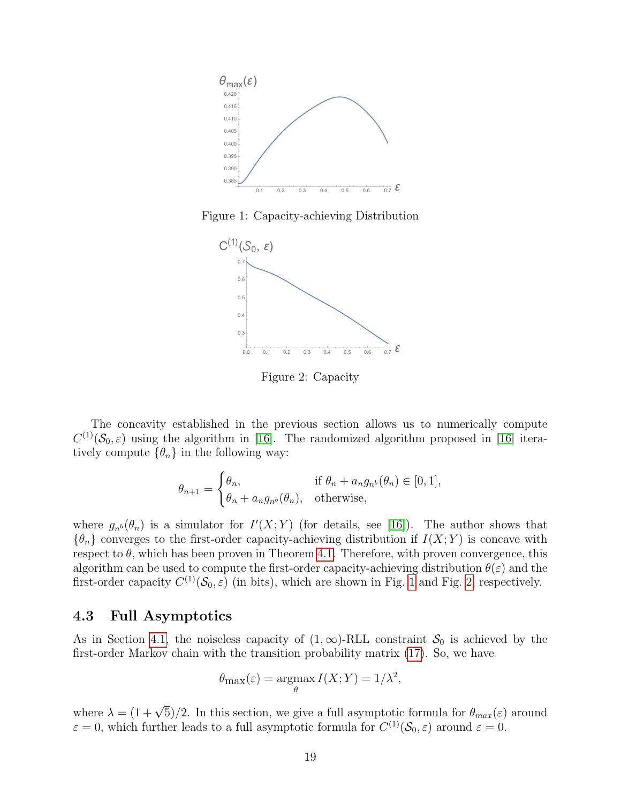

Figure 1: Capacity-achieving Distribution

<span id="page-18-1"></span>

<span id="page-18-2"></span>Figure 2: Capacity

The concavity established in the previous section allows us to numerically compute  $C^{(1)}(\mathcal{S}_0,\varepsilon)$  using the algorithm in [\[16\]](#page-26-4). The randomized algorithm proposed in [16] iteratively compute  $\{\theta_n\}$  in the following way:

$$
\theta_{n+1} = \begin{cases} \theta_n, & \text{if } \theta_n + a_n g_{n^b}(\theta_n) \in [0, 1], \\ \theta_n + a_n g_{n^b}(\theta_n), & \text{otherwise,} \end{cases}
$$

where  $g_{n^b}(\theta_n)$  is a simulator for  $I'(X;Y)$  (for details, see [\[16\]](#page-26-4)). The author shows that  ${\lbrace \theta_n \rbrace}$  converges to the first-order capacity-achieving distribution if  $I(X;Y)$  is concave with respect to  $\theta$ , which has been proven in Theorem [4.1.](#page-14-1) Therefore, with proven convergence, this algorithm can be used to compute the first-order capacity-achieving distribution  $\theta(\varepsilon)$  and the first-order capacity  $C^{(1)}(\mathcal{S}_0, \varepsilon)$  (in bits), which are shown in Fig. [1](#page-18-1) and Fig. [2,](#page-18-2) respectively.

#### <span id="page-18-0"></span>4.3 Full Asymptotics

As in Section [4.1,](#page-14-2) the noiseless capacity of  $(1,\infty)$ -RLL constraint  $S_0$  is achieved by the first-order Markov chain with the transition probability matrix [\(17\)](#page-13-1). So, we have

$$
\theta_{\max}(\varepsilon) = \underset{\theta}{\operatorname{argmax}} \, I(X;Y) = 1/\lambda^2,
$$

where  $\lambda = (1 + \sqrt{5})/2$ . In this section, we give a full asymptotic formula for  $\theta_{max}(\varepsilon)$  around  $\varepsilon = 0$ , which further leads to a full asymptotic formula for  $C^{(1)}(\mathcal{S}_0, \varepsilon)$  around  $\varepsilon = 0$ .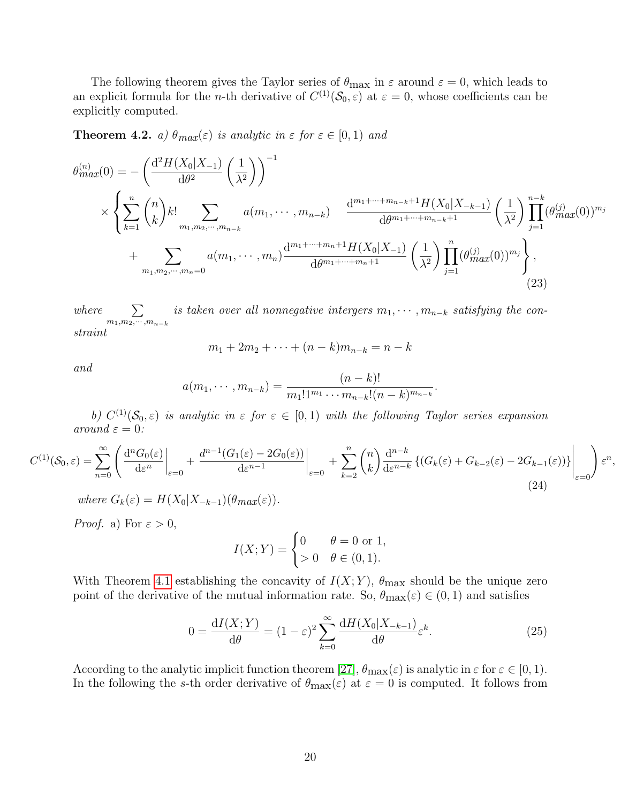The following theorem gives the Taylor series of  $\theta_{\text{max}}$  in  $\varepsilon$  around  $\varepsilon = 0$ , which leads to an explicit formula for the *n*-th derivative of  $C^{(1)}(\mathcal{S}_0, \varepsilon)$  at  $\varepsilon = 0$ , whose coefficients can be explicitly computed.

<span id="page-19-0"></span>**Theorem 4.2.** a)  $\theta_{max}(\varepsilon)$  is analytic in  $\varepsilon$  for  $\varepsilon \in [0,1)$  and

$$
\theta_{max}^{(n)}(0) = -\left(\frac{d^2 H(X_0|X_{-1})}{d\theta^2} \left(\frac{1}{\lambda^2}\right)\right)^{-1} \times \left\{\sum_{k=1}^n {n \choose k} k! \sum_{m_1, m_2, \cdots, m_{n-k}} a(m_1, \cdots, m_{n-k}) \frac{d^{m_1 + \cdots + m_{n-k}+1} H(X_0|X_{-k-1})}{d\theta^{m_1 + \cdots + m_{n-k}+1}} \left(\frac{1}{\lambda^2}\right) \prod_{j=1}^{n-k} (\theta_{max}^{(j)}(0))^{m_j} \right. \left. + \sum_{m_1, m_2, \cdots, m_n=0} a(m_1, \cdots, m_n) \frac{d^{m_1 + \cdots + m_n+1} H(X_0|X_{-1})}{d\theta^{m_1 + \cdots + m_n+1}} \left(\frac{1}{\lambda^2}\right) \prod_{j=1}^n (\theta_{max}^{(j)}(0))^{m_j} \right\},
$$
\n(23)

where  $\sum$  $m_1,m_2,\cdots,m_{n-k}$ is taken over all nonnegative intergers  $m_1, \cdots, m_{n-k}$  satisfying the constraint

and

$$
m_1 + 2m_2 + \dots + (n - k)m_{n-k} = n - k
$$

$$
a(m_1, \cdots, m_{n-k}) = \frac{(n-k)!}{m_1! 1^{m_1} \cdots m_{n-k}! (n-k)^{m_{n-k}}}
$$

<span id="page-19-1"></span>b)  $C^{(1)}(\mathcal{S}_0,\varepsilon)$  is analytic in  $\varepsilon$  for  $\varepsilon \in [0,1)$  with the following Taylor series expansion around  $\varepsilon = 0$ :

$$
C^{(1)}(\mathcal{S}_0, \varepsilon) = \sum_{n=0}^{\infty} \left( \frac{d^n G_0(\varepsilon)}{d\varepsilon^n} \bigg|_{\varepsilon=0} + \frac{d^{n-1} (G_1(\varepsilon) - 2G_0(\varepsilon))}{d\varepsilon^{n-1}} \bigg|_{\varepsilon=0} + \sum_{k=2}^n \binom{n}{k} \frac{d^{n-k}}{d\varepsilon^{n-k}} \left\{ (G_k(\varepsilon) + G_{k-2}(\varepsilon) - 2G_{k-1}(\varepsilon)) \right\} \bigg|_{\varepsilon=0} \right) \varepsilon^n,
$$
\n(24)

\n
$$
(24)
$$

*Proof.* a) For  $\varepsilon > 0$ ,

$$
I(X;Y) = \begin{cases} 0 & \theta = 0 \text{ or } 1, \\ > 0 & \theta \in (0,1). \end{cases}
$$

With Theorem [4.1](#page-14-1) establishing the concavity of  $I(X; Y)$ ,  $\theta_{\text{max}}$  should be the unique zero point of the derivative of the mutual information rate. So,  $\theta_{\text{max}}(\varepsilon) \in (0, 1)$  and satisfies

$$
0 = \frac{\mathrm{d}I(X;Y)}{\mathrm{d}\theta} = (1-\varepsilon)^2 \sum_{k=0}^{\infty} \frac{\mathrm{d}H(X_0|X_{-k-1})}{\mathrm{d}\theta} \varepsilon^k.
$$
 (25)

<span id="page-19-2"></span>.

According to the analytic implicit function theorem [\[27\]](#page-27-9),  $\theta_{\text{max}}(\varepsilon)$  is analytic in  $\varepsilon$  for  $\varepsilon \in [0,1)$ . In the following the s-th order derivative of  $\theta_{\text{max}}(\varepsilon)$  at  $\varepsilon = 0$  is computed. It follows from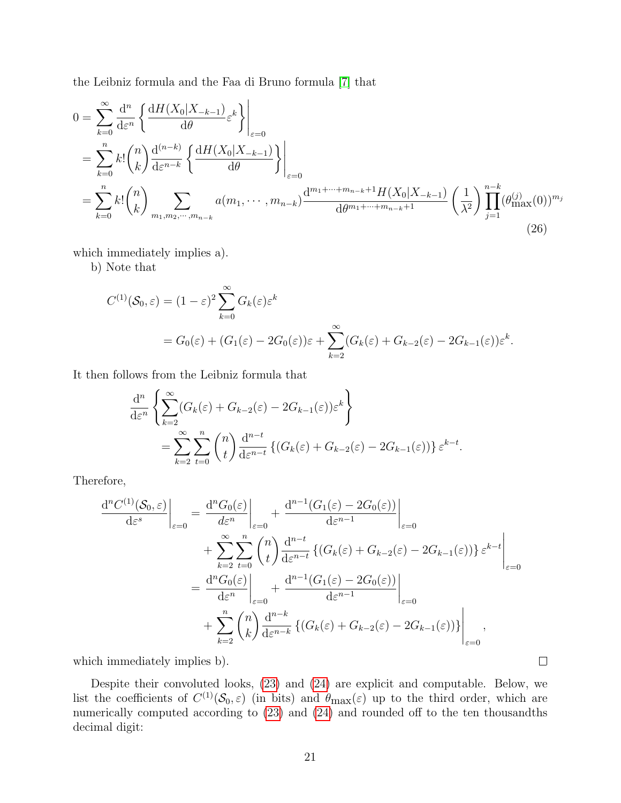the Leibniz formula and the Faa di Bruno formula [\[7\]](#page-26-6) that

$$
0 = \sum_{k=0}^{\infty} \frac{d^n}{d\varepsilon^n} \left\{ \frac{dH(X_0|X_{-k-1})}{d\theta} \varepsilon^k \right\}_{\varepsilon=0}
$$
  
= 
$$
\sum_{k=0}^n k! \binom{n}{k} \frac{d^{(n-k)}}{d\varepsilon^{n-k}} \left\{ \frac{dH(X_0|X_{-k-1})}{d\theta} \right\}_{\varepsilon=0}
$$
  
= 
$$
\sum_{k=0}^n k! \binom{n}{k} \sum_{m_1, m_2, \cdots, m_{n-k}} a(m_1, \cdots, m_{n-k}) \frac{d^{m_1 + \cdots + m_{n-k} + 1} H(X_0|X_{-k-1})}{d\theta^{m_1 + \cdots + m_{n-k} + 1}} \left( \frac{1}{\lambda^2} \right) \prod_{j=1}^{n-k} (\theta_{\max}^{(j)}(0))^{m_j}
$$
(26)

which immediately implies a).

b) Note that

$$
C^{(1)}(\mathcal{S}_0, \varepsilon) = (1 - \varepsilon)^2 \sum_{k=0}^{\infty} G_k(\varepsilon) \varepsilon^k
$$
  
=  $G_0(\varepsilon) + (G_1(\varepsilon) - 2G_0(\varepsilon)) \varepsilon + \sum_{k=2}^{\infty} (G_k(\varepsilon) + G_{k-2}(\varepsilon) - 2G_{k-1}(\varepsilon)) \varepsilon^k.$ 

It then follows from the Leibniz formula that

$$
\frac{d^n}{d\varepsilon^n} \left\{ \sum_{k=2}^{\infty} (G_k(\varepsilon) + G_{k-2}(\varepsilon) - 2G_{k-1}(\varepsilon)) \varepsilon^k \right\}
$$
  
= 
$$
\sum_{k=2}^{\infty} \sum_{t=0}^n {n \choose t} \frac{d^{n-t}}{d\varepsilon^{n-t}} \left\{ (G_k(\varepsilon) + G_{k-2}(\varepsilon) - 2G_{k-1}(\varepsilon)) \right\} \varepsilon^{k-t}.
$$

Therefore,

$$
\frac{d^n C^{(1)}(\mathcal{S}_0, \varepsilon)}{d\varepsilon^s}\Big|_{\varepsilon=0} = \frac{d^n G_0(\varepsilon)}{d\varepsilon^n}\Big|_{\varepsilon=0} + \frac{d^{n-1} (G_1(\varepsilon) - 2G_0(\varepsilon))}{d\varepsilon^{n-1}}\Big|_{\varepsilon=0}
$$
  
+ 
$$
\sum_{k=2}^{\infty} \sum_{t=0}^n {n \choose t} \frac{d^{n-t}}{d\varepsilon^{n-t}} \left\{ (G_k(\varepsilon) + G_{k-2}(\varepsilon) - 2G_{k-1}(\varepsilon)) \right\} \varepsilon^{k-t}\Big|_{\varepsilon=0}
$$
  
= 
$$
\frac{d^n G_0(\varepsilon)}{d\varepsilon^n}\Big|_{\varepsilon=0} + \frac{d^{n-1} (G_1(\varepsilon) - 2G_0(\varepsilon))}{d\varepsilon^{n-1}}\Big|_{\varepsilon=0}
$$
  
+ 
$$
\sum_{k=2}^n {n \choose k} \frac{d^{n-k}}{d\varepsilon^{n-k}} \left\{ (G_k(\varepsilon) + G_{k-2}(\varepsilon) - 2G_{k-1}(\varepsilon)) \right\}\Big|_{\varepsilon=0},
$$

which immediately implies b).

Despite their convoluted looks, [\(23\)](#page-19-2) and [\(24\)](#page-19-1) are explicit and computable. Below, we list the coefficients of  $C^{(1)}(\mathcal{S}_0,\varepsilon)$  (in bits) and  $\theta_{\max}(\varepsilon)$  up to the third order, which are numerically computed according to [\(23\)](#page-19-2) and [\(24\)](#page-19-1) and rounded off to the ten thousandths decimal digit:

 $\Box$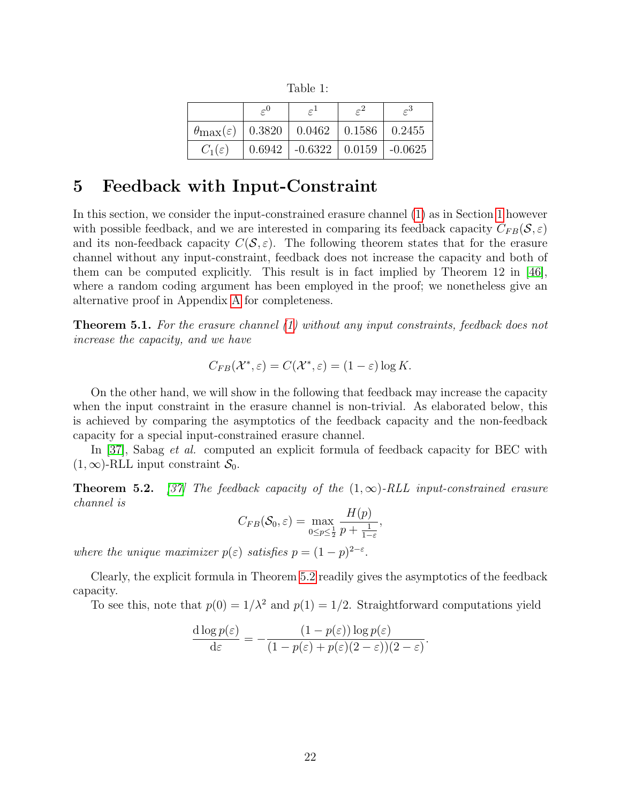Table 1:

| $\theta_{\text{max}}(\varepsilon)$   0.3820   0.0462   0.1586   0.2455 |                                             |  |
|------------------------------------------------------------------------|---------------------------------------------|--|
| $C_1(\varepsilon)$                                                     | $0.6942$   $-0.6322$   $0.0159$   $-0.0625$ |  |

### <span id="page-21-1"></span>5 Feedback with Input-Constraint

In this section, we consider the input-constrained erasure channel [\(1\)](#page-0-0) as in Section [1](#page-0-1) however with possible feedback, and we are interested in comparing its feedback capacity  $C_{FB}(S, \varepsilon)$ and its non-feedback capacity  $C(S, \varepsilon)$ . The following theorem states that for the erasure channel without any input-constraint, feedback does not increase the capacity and both of them can be computed explicitly. This result is in fact implied by Theorem 12 in [\[46\]](#page-28-4), where a random coding argument has been employed in the proof; we nonetheless give an alternative proof in Appendix [A](#page-22-1) for completeness.

<span id="page-21-0"></span>Theorem 5.1. For the erasure channel [\(1\)](#page-0-0) without any input constraints, feedback does not increase the capacity, and we have

$$
C_{FB}(\mathcal{X}^*, \varepsilon) = C(\mathcal{X}^*, \varepsilon) = (1 - \varepsilon) \log K.
$$

On the other hand, we will show in the following that feedback may increase the capacity when the input constraint in the erasure channel is non-trivial. As elaborated below, this is achieved by comparing the asymptotics of the feedback capacity and the non-feedback capacity for a special input-constrained erasure channel.

In [\[37\]](#page-28-6), Sabag *et al.* computed an explicit formula of feedback capacity for BEC with  $(1,\infty)$ -RLL input constraint  $S_0$ .

<span id="page-21-2"></span>**Theorem 5.2.** [\[37\]](#page-28-6) The feedback capacity of the  $(1, \infty)$ -RLL input-constrained erasure channel is

$$
C_{FB}(\mathcal{S}_0, \varepsilon) = \max_{0 \le p \le \frac{1}{2}} \frac{H(p)}{p + \frac{1}{1-\varepsilon}},
$$

where the unique maximizer  $p(\varepsilon)$  satisfies  $p = (1-p)^{2-\varepsilon}$ .

Clearly, the explicit formula in Theorem [5.2](#page-21-2) readily gives the asymptotics of the feedback capacity.

To see this, note that  $p(0) = 1/\lambda^2$  and  $p(1) = 1/2$ . Straightforward computations yield

$$
\frac{d \log p(\varepsilon)}{d \varepsilon} = -\frac{(1-p(\varepsilon)) \log p(\varepsilon)}{(1-p(\varepsilon)+p(\varepsilon)(2-\varepsilon))(2-\varepsilon)}.
$$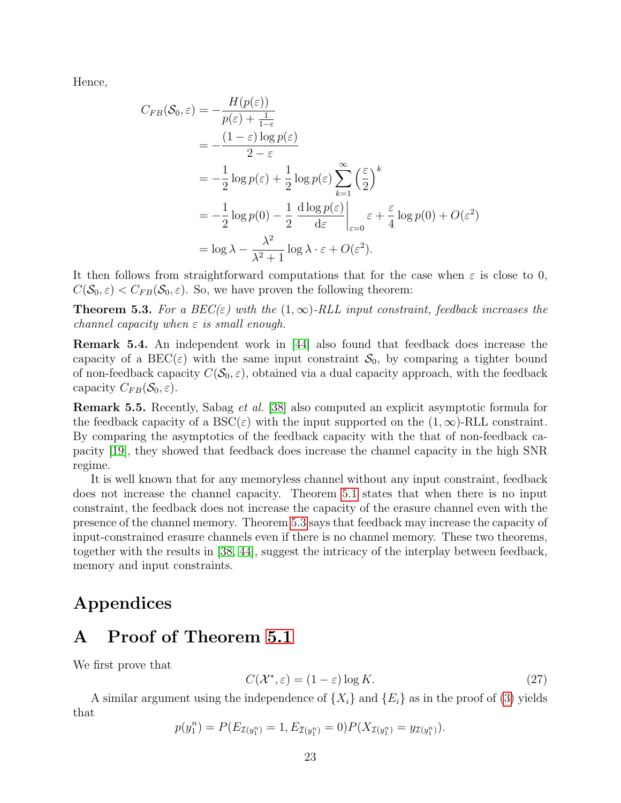Hence,

$$
C_{FB}(\mathcal{S}_0, \varepsilon) = -\frac{H(p(\varepsilon))}{p(\varepsilon) + \frac{1}{1-\varepsilon}}
$$
  
=  $-\frac{(1-\varepsilon)\log p(\varepsilon)}{2-\varepsilon}$   
=  $-\frac{1}{2}\log p(\varepsilon) + \frac{1}{2}\log p(\varepsilon) \sum_{k=1}^{\infty} \left(\frac{\varepsilon}{2}\right)^k$   
=  $-\frac{1}{2}\log p(0) - \frac{1}{2} \frac{d \log p(\varepsilon)}{d\varepsilon} \bigg|_{\varepsilon=0} \varepsilon + \frac{\varepsilon}{4}\log p(0) + O(\varepsilon^2)$   
=  $\log \lambda - \frac{\lambda^2}{\lambda^2 + 1} \log \lambda \cdot \varepsilon + O(\varepsilon^2).$ 

It then follows from straightforward computations that for the case when  $\varepsilon$  is close to 0,  $C(\mathcal{S}_0, \varepsilon) < C_{FB}(\mathcal{S}_0, \varepsilon)$ . So, we have proven the following theorem:

<span id="page-22-0"></span>**Theorem 5.3.** For a  $BEC(\varepsilon)$  with the  $(1,\infty)$ -RLL input constraint, feedback increases the channel capacity when  $\varepsilon$  is small enough.

Remark 5.4. An independent work in [\[44\]](#page-28-7) also found that feedback does increase the capacity of a BEC( $\varepsilon$ ) with the same input constraint  $S_0$ , by comparing a tighter bound of non-feedback capacity  $C(\mathcal{S}_0, \varepsilon)$ , obtained via a dual capacity approach, with the feedback capacity  $C_{FB}(\mathcal{S}_0, \varepsilon)$ .

Remark 5.5. Recently, Sabag et al. [\[38\]](#page-28-8) also computed an explicit asymptotic formula for the feedback capacity of a  $BSC(\varepsilon)$  with the input supported on the  $(1,\infty)$ -RLL constraint. By comparing the asymptotics of the feedback capacity with the that of non-feedback capacity [\[19\]](#page-27-4), they showed that feedback does increase the channel capacity in the high SNR regime.

It is well known that for any memoryless channel without any input constraint, feedback does not increase the channel capacity. Theorem [5.1](#page-21-0) states that when there is no input constraint, the feedback does not increase the capacity of the erasure channel even with the presence of the channel memory. Theorem [5.3](#page-22-0) says that feedback may increase the capacity of input-constrained erasure channels even if there is no channel memory. These two theorems, together with the results in [\[38,](#page-28-8) [44\]](#page-28-7), suggest the intricacy of the interplay between feedback, memory and input constraints.

## Appendices

# <span id="page-22-1"></span>A Proof of Theorem [5.1](#page-21-0)

We first prove that

<span id="page-22-2"></span>
$$
C(\mathcal{X}^*, \varepsilon) = (1 - \varepsilon) \log K. \tag{27}
$$

A similar argument using the independence of  $\{X_i\}$  and  $\{E_i\}$  as in the proof of [\(3\)](#page-4-1) yields that

$$
p(y_1^n) = P(E_{\mathcal{I}(y_1^n)} = 1, E_{\bar{\mathcal{I}}(y_1^n)} = 0) P(X_{\mathcal{I}(y_1^n)} = y_{\mathcal{I}(y_1^n)}).
$$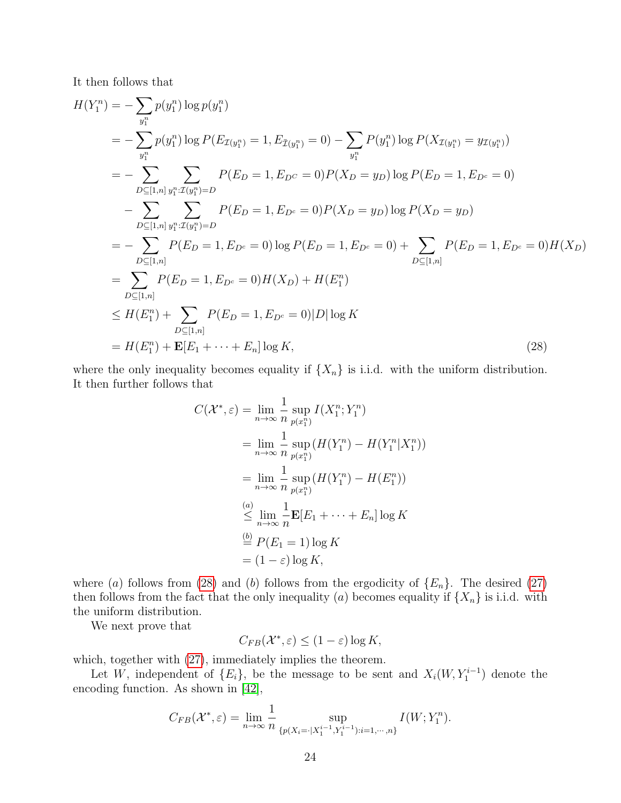It then follows that

$$
H(Y_1^n) = -\sum_{y_1^n} p(y_1^n) \log p(y_1^n)
$$
  
\n
$$
= -\sum_{y_1^n} p(y_1^n) \log P(E_{\mathcal{I}(y_1^n)} = 1, E_{\bar{\mathcal{I}}(y_1^n)} = 0) - \sum_{y_1^n} P(y_1^n) \log P(X_{\mathcal{I}(y_1^n)} = y_{\mathcal{I}(y_1^n)})
$$
  
\n
$$
= -\sum_{D \subseteq [1, n]} \sum_{y_1^n : \mathcal{I}(y_1^n) = D} P(E_D = 1, E_{D^c} = 0) P(X_D = y_D) \log P(E_D = 1, E_{D^c} = 0)
$$
  
\n
$$
- \sum_{D \subseteq [1, n]} \sum_{y_1^n : \mathcal{I}(y_1^n) = D} P(E_D = 1, E_{D^c} = 0) P(X_D = y_D) \log P(X_D = y_D)
$$
  
\n
$$
= -\sum_{D \subseteq [1, n]} P(E_D = 1, E_{D^c} = 0) \log P(E_D = 1, E_{D^c} = 0) + \sum_{D \subseteq [1, n]} P(E_D = 1, E_{D^c} = 0) H(X_D)
$$
  
\n
$$
= \sum_{D \subseteq [1, n]} P(E_D = 1, E_{D^c} = 0) H(X_D) + H(E_1^n)
$$
  
\n
$$
\leq H(E_1^n) + \sum_{D \subseteq [1, n]} P(E_D = 1, E_{D^c} = 0) |D| \log K
$$
  
\n
$$
= H(E_1^n) + \mathbf{E}[E_1 + \dots + E_n] \log K,
$$
 (28)

where the only inequality becomes equality if  $\{X_n\}$  is i.i.d. with the uniform distribution. It then further follows that

<span id="page-23-0"></span>
$$
C(\mathcal{X}^*, \varepsilon) = \lim_{n \to \infty} \frac{1}{n} \sup_{p(x_1^n)} I(X_1^n; Y_1^n)
$$
  
\n
$$
= \lim_{n \to \infty} \frac{1}{n} \sup_{p(x_1^n)} (H(Y_1^n) - H(Y_1^n | X_1^n))
$$
  
\n
$$
= \lim_{n \to \infty} \frac{1}{n} \sup_{p(x_1^n)} (H(Y_1^n) - H(E_1^n))
$$
  
\n
$$
\stackrel{(a)}{\leq} \lim_{n \to \infty} \frac{1}{n} \mathbf{E}[E_1 + \dots + E_n] \log K
$$
  
\n
$$
\stackrel{(b)}{=} P(E_1 = 1) \log K
$$
  
\n
$$
= (1 - \varepsilon) \log K,
$$

where (a) follows from [\(28\)](#page-23-0) and (b) follows from the ergodicity of  $\{E_n\}$ . The desired [\(27\)](#page-22-2) then follows from the fact that the only inequality (a) becomes equality if  $\{X_n\}$  is i.i.d. with the uniform distribution.

We next prove that

$$
C_{FB}(\mathcal{X}^*, \varepsilon) \le (1 - \varepsilon) \log K,
$$

which, together with  $(27)$ , immediately implies the theorem.

Let W, independent of  $\{E_i\}$ , be the message to be sent and  $X_i(W, Y_1^{i-1})$  denote the encoding function. As shown in [\[42\]](#page-28-9),

$$
C_{FB}(\mathcal{X}^*, \varepsilon) = \lim_{n \to \infty} \frac{1}{n} \sup_{\{p(X_i = |X_1^{i-1}, Y_1^{i-1}): i=1, \cdots, n\}} I(W; Y_1^n).
$$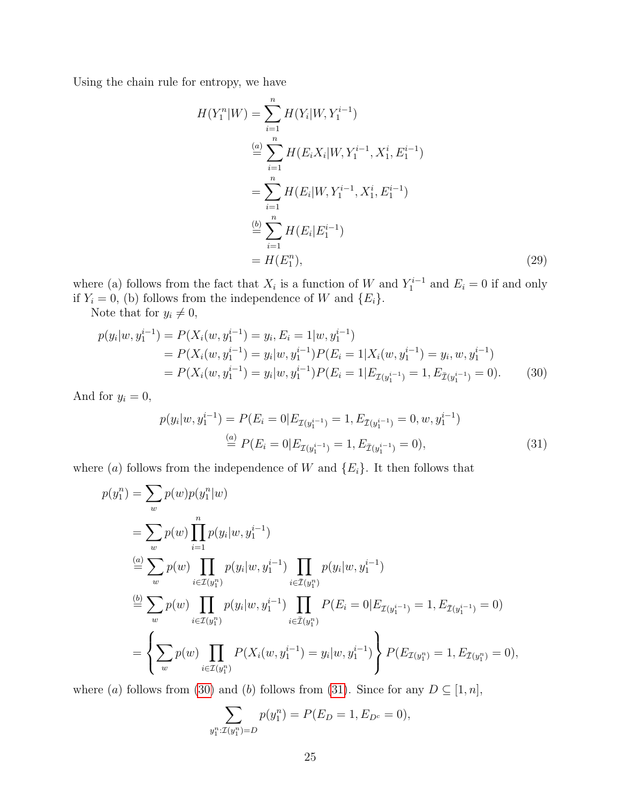Using the chain rule for entropy, we have

<span id="page-24-2"></span>
$$
H(Y_1^n|W) = \sum_{i=1}^n H(Y_i|W, Y_1^{i-1})
$$
  
\n
$$
\stackrel{(a)}{=} \sum_{i=1}^n H(E_i X_i|W, Y_1^{i-1}, X_1^i, E_1^{i-1})
$$
  
\n
$$
= \sum_{i=1}^n H(E_i|W, Y_1^{i-1}, X_1^i, E_1^{i-1})
$$
  
\n
$$
\stackrel{(b)}{=} \sum_{i=1}^n H(E_i|E_1^{i-1})
$$
  
\n
$$
= H(E_1^n), \tag{29}
$$

where (a) follows from the fact that  $X_i$  is a function of W and  $Y_1^{i-1}$  and  $E_i = 0$  if and only if  $Y_i = 0$ , (b) follows from the independence of W and  $\{E_i\}$ .

Note that for  $y_i \neq 0$ ,

$$
p(y_i|w, y_1^{i-1}) = P(X_i(w, y_1^{i-1}) = y_i, E_i = 1|w, y_1^{i-1})
$$
  
= 
$$
P(X_i(w, y_1^{i-1}) = y_i|w, y_1^{i-1})P(E_i = 1|X_i(w, y_1^{i-1}) = y_i, w, y_1^{i-1})
$$
  
= 
$$
P(X_i(w, y_1^{i-1}) = y_i|w, y_1^{i-1})P(E_i = 1|E_{\mathcal{I}(y_1^{i-1})} = 1, E_{\bar{\mathcal{I}}(y_1^{i-1})} = 0).
$$
 (30)

And for  $y_i = 0$ ,

<span id="page-24-1"></span><span id="page-24-0"></span>
$$
p(y_i|w, y_1^{i-1}) = P(E_i = 0|E_{\mathcal{I}(y_1^{i-1})} = 1, E_{\bar{\mathcal{I}}(y_1^{i-1})} = 0, w, y_1^{i-1})
$$
  
\n
$$
\stackrel{(a)}{=} P(E_i = 0|E_{\mathcal{I}(y_1^{i-1})} = 1, E_{\bar{\mathcal{I}}(y_1^{i-1})} = 0),
$$
\n(31)

where (a) follows from the independence of W and  $\{E_i\}$ . It then follows that

$$
p(y_1^n) = \sum_{w} p(w) p(y_1^n|w)
$$
  
\n
$$
= \sum_{w} p(w) \prod_{i=1}^n p(y_i|w, y_1^{i-1})
$$
  
\n
$$
\stackrel{(a)}{=} \sum_{w} p(w) \prod_{i \in \mathcal{I}(y_1^n)} p(y_i|w, y_1^{i-1}) \prod_{i \in \mathcal{I}(y_1^n)} p(y_i|w, y_1^{i-1})
$$
  
\n
$$
\stackrel{(b)}{=} \sum_{w} p(w) \prod_{i \in \mathcal{I}(y_1^n)} p(y_i|w, y_1^{i-1}) \prod_{i \in \mathcal{I}(y_1^n)} P(E_i = 0 | E_{\mathcal{I}(y_1^{i-1})} = 1, E_{\mathcal{I}(y_1^{i-1})} = 0)
$$
  
\n
$$
= \left\{ \sum_{w} p(w) \prod_{i \in \mathcal{I}(y_1^n)} P(X_i(w, y_1^{i-1}) = y_i | w, y_1^{i-1}) \right\} P(E_{\mathcal{I}(y_1^n)} = 1, E_{\mathcal{I}(y_1^n)} = 0),
$$

where (a) follows from [\(30\)](#page-24-0) and (b) follows from [\(31\)](#page-24-1). Since for any  $D \subseteq [1, n]$ ,

$$
\sum_{y_1^n: \mathcal{I}(y_1^n) = D} p(y_1^n) = P(E_D = 1, E_{D^c} = 0),
$$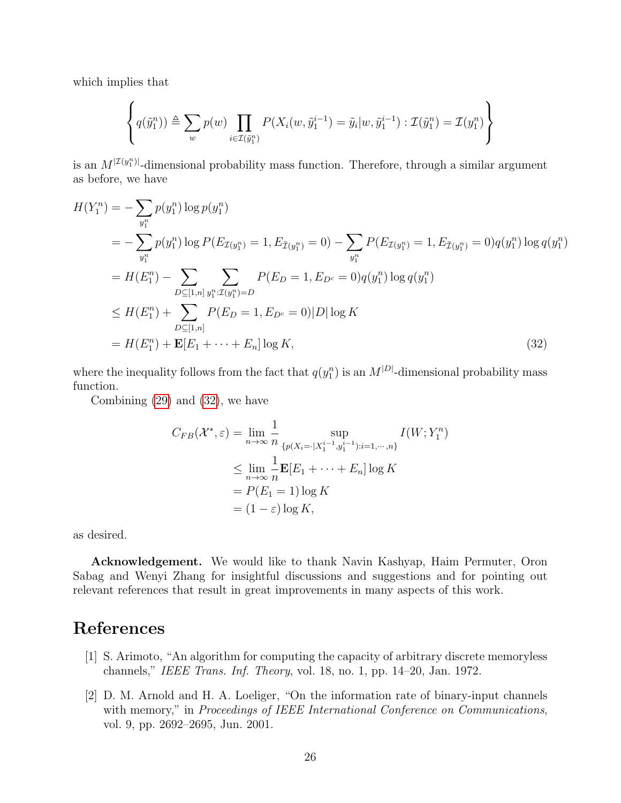which implies that

$$
\left\{ q(\tilde{y}_1^n) \triangleq \sum_w p(w) \prod_{i \in \mathcal{I}(\tilde{y}_1^n)} P(X_i(w, \tilde{y}_1^{i-1}) = \tilde{y}_i | w, \tilde{y}_1^{i-1}) : \mathcal{I}(\tilde{y}_1^n) = \mathcal{I}(y_1^n) \right\}
$$

is an  $M^{|\mathcal{I}(y_i^n)|}$ -dimensional probability mass function. Therefore, through a similar argument as before, we have

$$
H(Y_1^n) = -\sum_{y_1^n} p(y_1^n) \log p(y_1^n)
$$
  
=  $-\sum_{y_1^n} p(y_1^n) \log P(E_{\mathcal{I}(y_1^n)} = 1, E_{\bar{\mathcal{I}}(y_1^n)} = 0) - \sum_{y_1^n} P(E_{\mathcal{I}(y_1^n)} = 1, E_{\bar{\mathcal{I}}(y_1^n)} = 0)q(y_1^n) \log q(y_1^n)$   
=  $H(E_1^n) - \sum_{D \subseteq [1,n]} \sum_{y_1^n : \mathcal{I}(y_1^n) = D} P(E_D = 1, E_{D^c} = 0)q(y_1^n) \log q(y_1^n)$   
 $\leq H(E_1^n) + \sum_{D \subseteq [1,n]} P(E_D = 1, E_{D^c} = 0)|D| \log K$   
=  $H(E_1^n) + \mathbf{E}[E_1 + \dots + E_n] \log K,$  (32)

where the inequality follows from the fact that  $q(y_1^n)$  is an  $M^{|D|}$ -dimensional probability mass function.

Combining [\(29\)](#page-24-2) and [\(32\)](#page-25-2), we have

<span id="page-25-2"></span>
$$
C_{FB}(\mathcal{X}^*, \varepsilon) = \lim_{n \to \infty} \frac{1}{n} \sup_{\{p(X_i = |X_1^{i-1}, y_1^{i-1}): i=1,\dots,n\}} I(W; Y_1^n)
$$
  

$$
\leq \lim_{n \to \infty} \frac{1}{n} \mathbf{E}[E_1 + \dots + E_n] \log K
$$
  

$$
= P(E_1 = 1) \log K
$$
  

$$
= (1 - \varepsilon) \log K,
$$

as desired.

Acknowledgement. We would like to thank Navin Kashyap, Haim Permuter, Oron Sabag and Wenyi Zhang for insightful discussions and suggestions and for pointing out relevant references that result in great improvements in many aspects of this work.

# References

- <span id="page-25-0"></span>[1] S. Arimoto, "An algorithm for computing the capacity of arbitrary discrete memoryless channels," IEEE Trans. Inf. Theory, vol. 18, no. 1, pp. 14–20, Jan. 1972.
- <span id="page-25-1"></span>[2] D. M. Arnold and H. A. Loeliger, "On the information rate of binary-input channels with memory," in Proceedings of IEEE International Conference on Communications, vol. 9, pp. 2692–2695, Jun. 2001.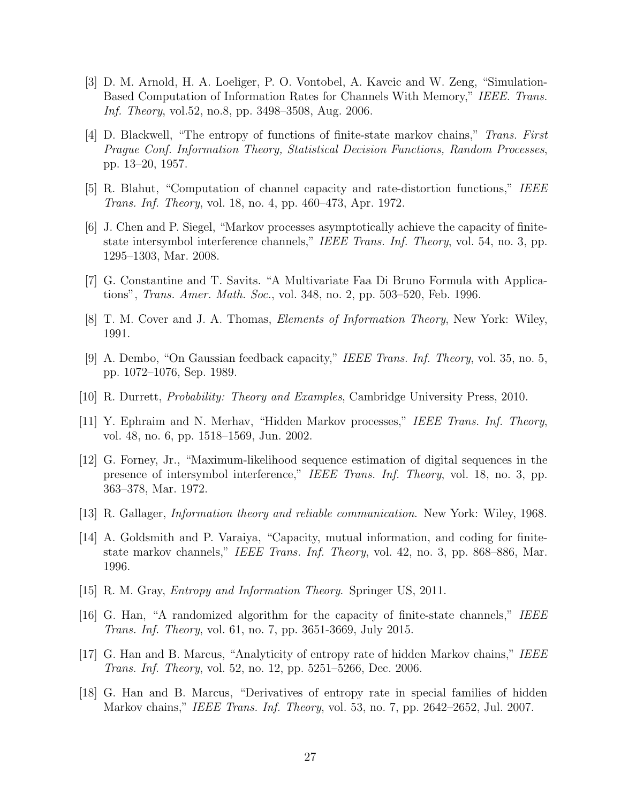- [3] D. M. Arnold, H. A. Loeliger, P. O. Vontobel, A. Kavcic and W. Zeng, "Simulation-Based Computation of Information Rates for Channels With Memory," IEEE. Trans. Inf. Theory, vol.52, no.8, pp. 3498–3508, Aug. 2006.
- <span id="page-26-3"></span>[4] D. Blackwell, "The entropy of functions of finite-state markov chains," Trans. First Prague Conf. Information Theory, Statistical Decision Functions, Random Processes, pp. 13–20, 1957.
- <span id="page-26-1"></span>[5] R. Blahut, "Computation of channel capacity and rate-distortion functions," IEEE Trans. Inf. Theory, vol. 18, no. 4, pp. 460–473, Apr. 1972.
- <span id="page-26-2"></span>[6] J. Chen and P. Siegel, "Markov processes asymptotically achieve the capacity of finitestate intersymbol interference channels," IEEE Trans. Inf. Theory, vol. 54, no. 3, pp. 1295–1303, Mar. 2008.
- <span id="page-26-6"></span>[7] G. Constantine and T. Savits. "A Multivariate Faa Di Bruno Formula with Applications", Trans. Amer. Math. Soc., vol. 348, no. 2, pp. 503–520, Feb. 1996.
- [8] T. M. Cover and J. A. Thomas, Elements of Information Theory, New York: Wiley, 1991.
- [9] A. Dembo, "On Gaussian feedback capacity," IEEE Trans. Inf. Theory, vol. 35, no. 5, pp. 1072–1076, Sep. 1989.
- <span id="page-26-5"></span>[10] R. Durrett, Probability: Theory and Examples, Cambridge University Press, 2010.
- [11] Y. Ephraim and N. Merhav, "Hidden Markov processes," IEEE Trans. Inf. Theory, vol. 48, no. 6, pp. 1518–1569, Jun. 2002.
- <span id="page-26-0"></span>[12] G. Forney, Jr., "Maximum-likelihood sequence estimation of digital sequences in the presence of intersymbol interference," IEEE Trans. Inf. Theory, vol. 18, no. 3, pp. 363–378, Mar. 1972.
- [13] R. Gallager, Information theory and reliable communication. New York: Wiley, 1968.
- [14] A. Goldsmith and P. Varaiya, "Capacity, mutual information, and coding for finitestate markov channels," IEEE Trans. Inf. Theory, vol. 42, no. 3, pp. 868–886, Mar. 1996.
- [15] R. M. Gray, *Entropy and Information Theory*. Springer US, 2011.
- <span id="page-26-4"></span>[16] G. Han, "A randomized algorithm for the capacity of finite-state channels," IEEE Trans. Inf. Theory, vol. 61, no. 7, pp. 3651-3669, July 2015.
- [17] G. Han and B. Marcus, "Analyticity of entropy rate of hidden Markov chains," IEEE Trans. Inf. Theory, vol. 52, no. 12, pp. 5251–5266, Dec. 2006.
- [18] G. Han and B. Marcus, "Derivatives of entropy rate in special families of hidden Markov chains," IEEE Trans. Inf. Theory, vol. 53, no. 7, pp. 2642–2652, Jul. 2007.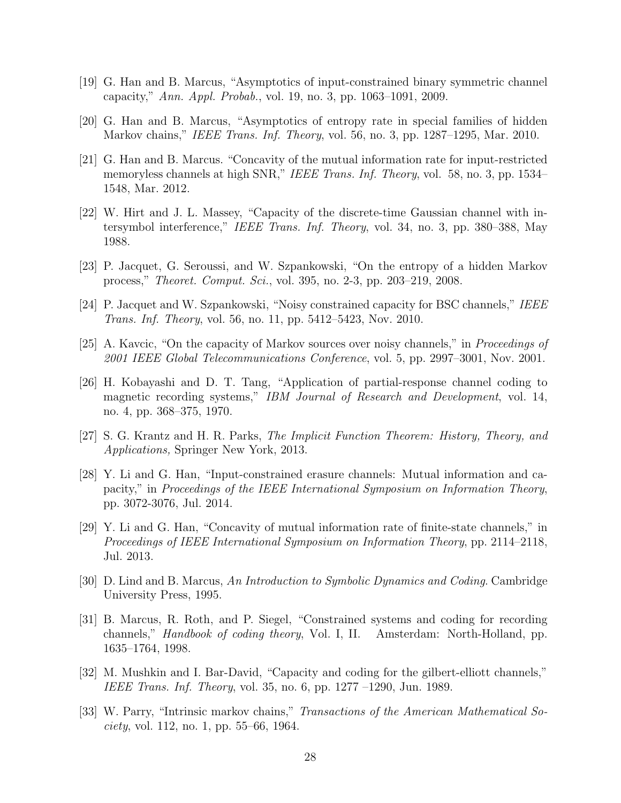- <span id="page-27-4"></span>[19] G. Han and B. Marcus, "Asymptotics of input-constrained binary symmetric channel capacity," Ann. Appl. Probab., vol. 19, no. 3, pp. 1063–1091, 2009.
- <span id="page-27-6"></span>[20] G. Han and B. Marcus, "Asymptotics of entropy rate in special families of hidden Markov chains," IEEE Trans. Inf. Theory, vol. 56, no. 3, pp. 1287–1295, Mar. 2010.
- <span id="page-27-7"></span>[21] G. Han and B. Marcus. "Concavity of the mutual information rate for input-restricted memoryless channels at high SNR," IEEE Trans. Inf. Theory, vol. 58, no. 3, pp. 1534– 1548, Mar. 2012.
- [22] W. Hirt and J. L. Massey, "Capacity of the discrete-time Gaussian channel with intersymbol interference," IEEE Trans. Inf. Theory, vol. 34, no. 3, pp. 380–388, May 1988.
- [23] P. Jacquet, G. Seroussi, and W. Szpankowski, "On the entropy of a hidden Markov process," Theoret. Comput. Sci., vol. 395, no. 2-3, pp. 203–219, 2008.
- <span id="page-27-5"></span>[24] P. Jacquet and W. Szpankowski, "Noisy constrained capacity for BSC channels," IEEE Trans. Inf. Theory, vol. 56, no. 11, pp. 5412–5423, Nov. 2010.
- <span id="page-27-3"></span>[25] A. Kavcic, "On the capacity of Markov sources over noisy channels," in Proceedings of 2001 IEEE Global Telecommunications Conference, vol. 5, pp. 2997–3001, Nov. 2001.
- [26] H. Kobayashi and D. T. Tang, "Application of partial-response channel coding to magnetic recording systems," IBM Journal of Research and Development, vol. 14, no. 4, pp. 368–375, 1970.
- <span id="page-27-9"></span>[27] S. G. Krantz and H. R. Parks, The Implicit Function Theorem: History, Theory, and Applications, Springer New York, 2013.
- [28] Y. Li and G. Han, "Input-constrained erasure channels: Mutual information and capacity," in Proceedings of the IEEE International Symposium on Information Theory, pp. 3072-3076, Jul. 2014.
- <span id="page-27-8"></span>[29] Y. Li and G. Han, "Concavity of mutual information rate of finite-state channels," in Proceedings of IEEE International Symposium on Information Theory, pp. 2114–2118, Jul. 2013.
- <span id="page-27-0"></span>[30] D. Lind and B. Marcus, An Introduction to Symbolic Dynamics and Coding. Cambridge University Press, 1995.
- <span id="page-27-1"></span>[31] B. Marcus, R. Roth, and P. Siegel, "Constrained systems and coding for recording channels," Handbook of coding theory, Vol. I, II. Amsterdam: North-Holland, pp. 1635–1764, 1998.
- [32] M. Mushkin and I. Bar-David, "Capacity and coding for the gilbert-elliott channels," IEEE Trans. Inf. Theory, vol. 35, no. 6, pp. 1277 –1290, Jun. 1989.
- <span id="page-27-2"></span>[33] W. Parry, "Intrinsic markov chains," Transactions of the American Mathematical Society, vol. 112, no. 1, pp. 55–66, 1964.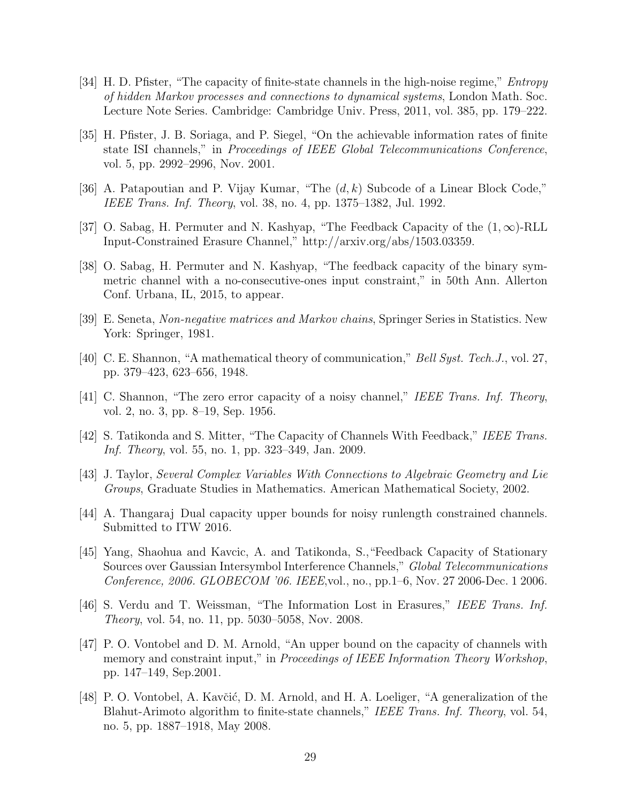- [34] H. D. Pfister, "The capacity of finite-state channels in the high-noise regime," *Entropy* of hidden Markov processes and connections to dynamical systems, London Math. Soc. Lecture Note Series. Cambridge: Cambridge Univ. Press, 2011, vol. 385, pp. 179–222.
- <span id="page-28-1"></span>[35] H. Pfister, J. B. Soriaga, and P. Siegel, "On the achievable information rates of finite state ISI channels," in Proceedings of IEEE Global Telecommunications Conference, vol. 5, pp. 2992–2996, Nov. 2001.
- <span id="page-28-3"></span>[36] A. Patapoutian and P. Vijay Kumar, "The  $(d, k)$  Subcode of a Linear Block Code," IEEE Trans. Inf. Theory, vol. 38, no. 4, pp. 1375–1382, Jul. 1992.
- <span id="page-28-6"></span>[37] O. Sabag, H. Permuter and N. Kashyap, "The Feedback Capacity of the  $(1,\infty)$ -RLL Input-Constrained Erasure Channel," http://arxiv.org/abs/1503.03359.
- <span id="page-28-8"></span>[38] O. Sabag, H. Permuter and N. Kashyap, "The feedback capacity of the binary symmetric channel with a no-consecutive-ones input constraint," in 50th Ann. Allerton Conf. Urbana, IL, 2015, to appear.
- [39] E. Seneta, Non-negative matrices and Markov chains, Springer Series in Statistics. New York: Springer, 1981.
- <span id="page-28-0"></span>[40] C. E. Shannon, "A mathematical theory of communication," Bell Syst. Tech.J., vol. 27, pp. 379–423, 623–656, 1948.
- [41] C. Shannon, "The zero error capacity of a noisy channel," IEEE Trans. Inf. Theory, vol. 2, no. 3, pp. 8–19, Sep. 1956.
- <span id="page-28-9"></span>[42] S. Tatikonda and S. Mitter, "The Capacity of Channels With Feedback," IEEE Trans. Inf. Theory, vol. 55, no. 1, pp. 323–349, Jan. 2009.
- [43] J. Taylor, Several Complex Variables With Connections to Algebraic Geometry and Lie Groups, Graduate Studies in Mathematics. American Mathematical Society, 2002.
- <span id="page-28-7"></span>[44] A. Thangaraj Dual capacity upper bounds for noisy runlength constrained channels. Submitted to ITW 2016.
- [45] Yang, Shaohua and Kavcic, A. and Tatikonda, S.,"Feedback Capacity of Stationary Sources over Gaussian Intersymbol Interference Channels," Global Telecommunications Conference, 2006. GLOBECOM '06. IEEE,vol., no., pp.1–6, Nov. 27 2006-Dec. 1 2006.
- <span id="page-28-4"></span>[46] S. Verdu and T. Weissman, "The Information Lost in Erasures," IEEE Trans. Inf. Theory, vol. 54, no. 11, pp. 5030–5058, Nov. 2008.
- <span id="page-28-2"></span>[47] P. O. Vontobel and D. M. Arnold, "An upper bound on the capacity of channels with memory and constraint input," in *Proceedings of IEEE Information Theory Workshop*, pp. 147–149, Sep.2001.
- <span id="page-28-5"></span>[48] P. O. Vontobel, A. Kavčić, D. M. Arnold, and H. A. Loeliger, "A generalization of the Blahut-Arimoto algorithm to finite-state channels," IEEE Trans. Inf. Theory, vol. 54, no. 5, pp. 1887–1918, May 2008.